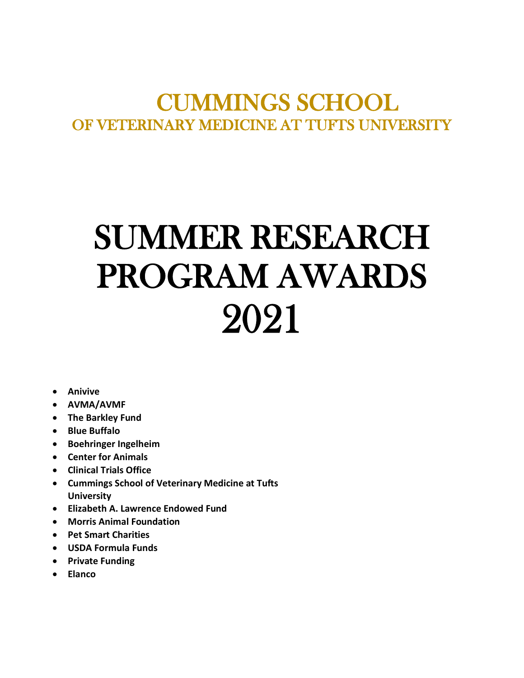# CUMMINGS SCHOOL OF VETERINARY MEDICINE AT TUFTS UNIVERSITY

# SUMMER RESEARCH PROGRAM AWARDS 2021

- **Anivive**
- **AVMA/AVMF**
- **The Barkley Fund**
- **Blue Buffalo**
- **Boehringer Ingelheim**
- **Center for Animals**
- **Clinical Trials Office**
- **Cummings School of Veterinary Medicine at Tufts University**
- **Elizabeth A. Lawrence Endowed Fund**
- **Morris Animal Foundation**
- **Pet Smart Charities**
- **USDA Formula Funds**
- **Private Funding**
- **Elanco**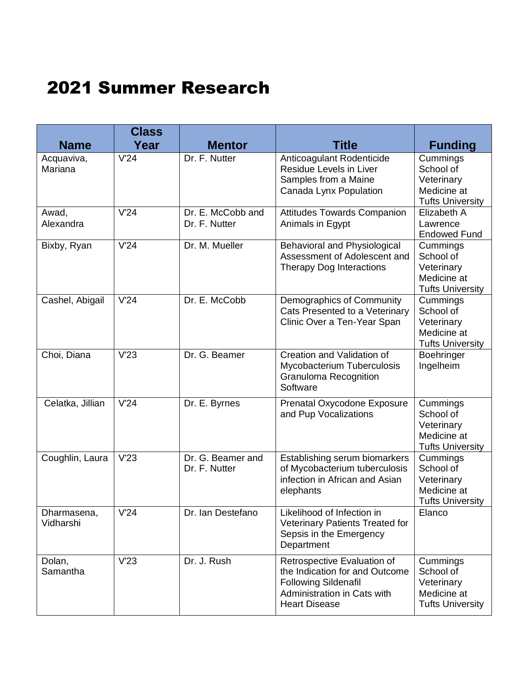# 2021 Summer Research

| <b>Name</b>              | <b>Class</b><br>Year | <b>Mentor</b>                      | <b>Title</b>                                                                                                                                        | <b>Funding</b>                                                                |
|--------------------------|----------------------|------------------------------------|-----------------------------------------------------------------------------------------------------------------------------------------------------|-------------------------------------------------------------------------------|
| Acquaviva,<br>Mariana    | V'24                 | Dr. F. Nutter                      | Anticoagulant Rodenticide<br>Residue Levels in Liver<br>Samples from a Maine<br>Canada Lynx Population                                              | Cummings<br>School of<br>Veterinary<br>Medicine at<br><b>Tufts University</b> |
| Awad,<br>Alexandra       | V'24                 | Dr. E. McCobb and<br>Dr. F. Nutter | <b>Attitudes Towards Companion</b><br>Animals in Egypt                                                                                              | Elizabeth A<br>Lawrence<br><b>Endowed Fund</b>                                |
| Bixby, Ryan              | V'24                 | Dr. M. Mueller                     | Behavioral and Physiological<br>Assessment of Adolescent and<br><b>Therapy Dog Interactions</b>                                                     | Cummings<br>School of<br>Veterinary<br>Medicine at<br><b>Tufts University</b> |
| Cashel, Abigail          | V'24                 | Dr. E. McCobb                      | Demographics of Community<br>Cats Presented to a Veterinary<br>Clinic Over a Ten-Year Span                                                          | Cummings<br>School of<br>Veterinary<br>Medicine at<br><b>Tufts University</b> |
| Choi, Diana              | V'23                 | Dr. G. Beamer                      | Creation and Validation of<br>Mycobacterium Tuberculosis<br><b>Granuloma Recognition</b><br>Software                                                | Boehringer<br>Ingelheim                                                       |
| Celatka, Jillian         | V'24                 | Dr. E. Byrnes                      | Prenatal Oxycodone Exposure<br>and Pup Vocalizations                                                                                                | Cummings<br>School of<br>Veterinary<br>Medicine at<br><b>Tufts University</b> |
| Coughlin, Laura          | V'23                 | Dr. G. Beamer and<br>Dr. F. Nutter | Establishing serum biomarkers<br>of Mycobacterium tuberculosis<br>infection in African and Asian<br>elephants                                       | Cummings<br>School of<br>Veterinary<br>Medicine at<br><b>Tufts University</b> |
| Dharmasena,<br>Vidharshi | V'24                 | Dr. Ian Destefano                  | Likelihood of Infection in<br>Veterinary Patients Treated for<br>Sepsis in the Emergency<br>Department                                              | Elanco                                                                        |
| Dolan,<br>Samantha       | V'23                 | Dr. J. Rush                        | Retrospective Evaluation of<br>the Indication for and Outcome<br><b>Following Sildenafil</b><br>Administration in Cats with<br><b>Heart Disease</b> | Cummings<br>School of<br>Veterinary<br>Medicine at<br><b>Tufts University</b> |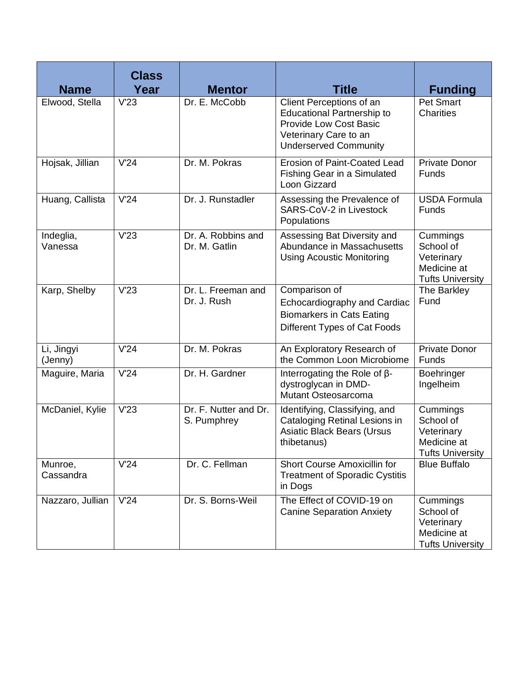| <b>Name</b>           | <b>Class</b><br>Year | <b>Mentor</b>                        | <b>Title</b>                                                                                                                                            | <b>Funding</b>                                                                |
|-----------------------|----------------------|--------------------------------------|---------------------------------------------------------------------------------------------------------------------------------------------------------|-------------------------------------------------------------------------------|
| Elwood, Stella        | V'23                 | Dr. E. McCobb                        | Client Perceptions of an<br><b>Educational Partnership to</b><br><b>Provide Low Cost Basic</b><br>Veterinary Care to an<br><b>Underserved Community</b> | <b>Pet Smart</b><br><b>Charities</b>                                          |
| Hojsak, Jillian       | V'24                 | Dr. M. Pokras                        | <b>Erosion of Paint-Coated Lead</b><br>Fishing Gear in a Simulated<br>Loon Gizzard                                                                      | <b>Private Donor</b><br>Funds                                                 |
| Huang, Callista       | V'24                 | Dr. J. Runstadler                    | Assessing the Prevalence of<br>SARS-CoV-2 in Livestock<br>Populations                                                                                   | <b>USDA Formula</b><br>Funds                                                  |
| Indeglia,<br>Vanessa  | V'23                 | Dr. A. Robbins and<br>Dr. M. Gatlin  | Assessing Bat Diversity and<br>Abundance in Massachusetts<br><b>Using Acoustic Monitoring</b>                                                           | Cummings<br>School of<br>Veterinary<br>Medicine at<br><b>Tufts University</b> |
| Karp, Shelby          | V'23                 | Dr. L. Freeman and<br>Dr. J. Rush    | Comparison of<br>Echocardiography and Cardiac<br><b>Biomarkers in Cats Eating</b><br>Different Types of Cat Foods                                       | The Barkley<br>Fund                                                           |
| Li, Jingyi<br>(Jenny) | V'24                 | Dr. M. Pokras                        | An Exploratory Research of<br>the Common Loon Microbiome                                                                                                | <b>Private Donor</b><br>Funds                                                 |
| Maguire, Maria        | V'24                 | Dr. H. Gardner                       | Interrogating the Role of $\beta$ -<br>dystroglycan in DMD-<br>Mutant Osteosarcoma                                                                      | Boehringer<br>Ingelheim                                                       |
| McDaniel, Kylie       | V'23                 | Dr. F. Nutter and Dr.<br>S. Pumphrey | Identifying, Classifying, and<br>Cataloging Retinal Lesions in<br><b>Asiatic Black Bears (Ursus</b><br>thibetanus)                                      | Cummings<br>School of<br>Veterinary<br>Medicine at<br><b>Tufts University</b> |
| Munroe,<br>Cassandra  | V'24                 | Dr. C. Fellman                       | <b>Short Course Amoxicillin for</b><br><b>Treatment of Sporadic Cystitis</b><br>in Dogs                                                                 | <b>Blue Buffalo</b>                                                           |
| Nazzaro, Jullian      | V'24                 | Dr. S. Borns-Weil                    | The Effect of COVID-19 on<br><b>Canine Separation Anxiety</b>                                                                                           | Cummings<br>School of<br>Veterinary<br>Medicine at<br><b>Tufts University</b> |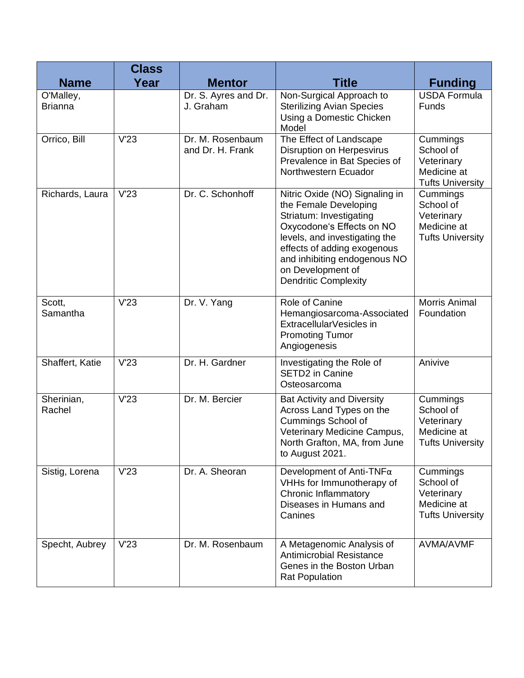|                             | <b>Class</b> |                                      |                                                                                                                                                                                                                                                                     |                                                                               |
|-----------------------------|--------------|--------------------------------------|---------------------------------------------------------------------------------------------------------------------------------------------------------------------------------------------------------------------------------------------------------------------|-------------------------------------------------------------------------------|
| <b>Name</b>                 | Year         | <b>Mentor</b>                        | <b>Title</b>                                                                                                                                                                                                                                                        | <b>Funding</b>                                                                |
| O'Malley,<br><b>Brianna</b> |              | Dr. S. Ayres and Dr.<br>J. Graham    | Non-Surgical Approach to<br><b>Sterilizing Avian Species</b><br>Using a Domestic Chicken<br>Model                                                                                                                                                                   | <b>USDA Formula</b><br>Funds                                                  |
| Orrico, Bill                | V'23         | Dr. M. Rosenbaum<br>and Dr. H. Frank | The Effect of Landscape<br>Disruption on Herpesvirus<br>Prevalence in Bat Species of<br>Northwestern Ecuador                                                                                                                                                        | Cummings<br>School of<br>Veterinary<br>Medicine at<br><b>Tufts University</b> |
| Richards, Laura             | V'23         | Dr. C. Schonhoff                     | Nitric Oxide (NO) Signaling in<br>the Female Developing<br>Striatum: Investigating<br>Oxycodone's Effects on NO<br>levels, and investigating the<br>effects of adding exogenous<br>and inhibiting endogenous NO<br>on Development of<br><b>Dendritic Complexity</b> | Cummings<br>School of<br>Veterinary<br>Medicine at<br><b>Tufts University</b> |
| Scott,<br>Samantha          | V'23         | Dr. V. Yang                          | Role of Canine<br>Hemangiosarcoma-Associated<br>ExtracellularVesicles in<br><b>Promoting Tumor</b><br>Angiogenesis                                                                                                                                                  | <b>Morris Animal</b><br>Foundation                                            |
| Shaffert, Katie             | V'23         | Dr. H. Gardner                       | Investigating the Role of<br>SETD2 in Canine<br>Osteosarcoma                                                                                                                                                                                                        | Anivive                                                                       |
| Sherinian,<br>Rachel        | V'23         | Dr. M. Bercier                       | <b>Bat Activity and Diversity</b><br>Across Land Types on the<br><b>Cummings School of</b><br>Veterinary Medicine Campus,<br>North Grafton, MA, from June<br>to August 2021.                                                                                        | Cummings<br>School of<br>Veterinary<br>Medicine at<br><b>Tufts University</b> |
| Sistig, Lorena              | V'23         | Dr. A. Sheoran                       | Development of Anti-TNFa<br>VHHs for Immunotherapy of<br>Chronic Inflammatory<br>Diseases in Humans and<br>Canines                                                                                                                                                  | Cummings<br>School of<br>Veterinary<br>Medicine at<br><b>Tufts University</b> |
| Specht, Aubrey              | V'23         | Dr. M. Rosenbaum                     | A Metagenomic Analysis of<br><b>Antimicrobial Resistance</b><br>Genes in the Boston Urban<br><b>Rat Population</b>                                                                                                                                                  | <b>AVMA/AVMF</b>                                                              |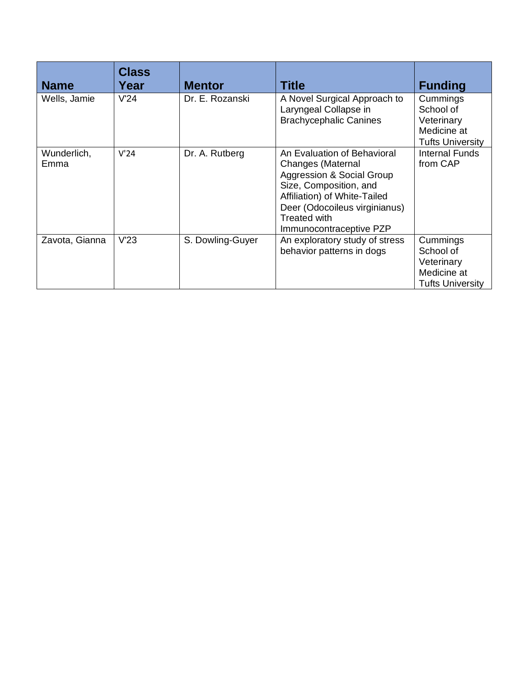| <b>Name</b>         | <b>Class</b><br>Year | <b>Mentor</b>    | <b>Title</b>                                                                                                                                                                                                               | <b>Funding</b>                                                                |
|---------------------|----------------------|------------------|----------------------------------------------------------------------------------------------------------------------------------------------------------------------------------------------------------------------------|-------------------------------------------------------------------------------|
| Wells, Jamie        | V'24                 | Dr. E. Rozanski  | A Novel Surgical Approach to<br>Laryngeal Collapse in<br><b>Brachycephalic Canines</b>                                                                                                                                     | Cummings<br>School of<br>Veterinary<br>Medicine at<br><b>Tufts University</b> |
| Wunderlich,<br>Emma | V'24                 | Dr. A. Rutberg   | An Evaluation of Behavioral<br><b>Changes (Maternal</b><br>Aggression & Social Group<br>Size, Composition, and<br>Affiliation) of White-Tailed<br>Deer (Odocoileus virginianus)<br>Treated with<br>Immunocontraceptive PZP | Internal Funds<br>from CAP                                                    |
| Zavota, Gianna      | V'23                 | S. Dowling-Guyer | An exploratory study of stress<br>behavior patterns in dogs                                                                                                                                                                | Cummings<br>School of<br>Veterinary<br>Medicine at<br><b>Tufts University</b> |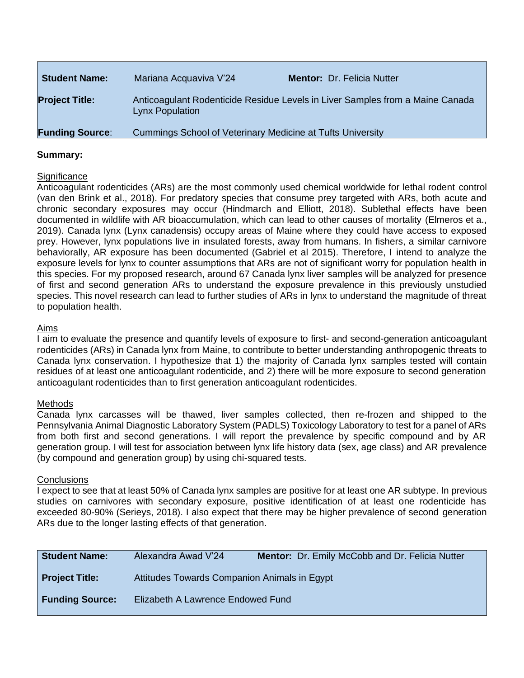| <b>Student Name:</b>   | Mariana Acquaviva V'24                                     | Mentor: Dr. Felicia Nutter                                                    |
|------------------------|------------------------------------------------------------|-------------------------------------------------------------------------------|
| <b>Project Title:</b>  | <b>Lynx Population</b>                                     | Anticoagulant Rodenticide Residue Levels in Liver Samples from a Maine Canada |
| <b>Funding Source:</b> | Cummings School of Veterinary Medicine at Tufts University |                                                                               |

#### **Significance**

Anticoagulant rodenticides (ARs) are the most commonly used chemical worldwide for lethal rodent control (van den Brink et al., 2018). For predatory species that consume prey targeted with ARs, both acute and chronic secondary exposures may occur (Hindmarch and Elliott, 2018). Sublethal effects have been documented in wildlife with AR bioaccumulation, which can lead to other causes of mortality (Elmeros et a., 2019). Canada lynx (Lynx canadensis) occupy areas of Maine where they could have access to exposed prey. However, lynx populations live in insulated forests, away from humans. In fishers, a similar carnivore behaviorally, AR exposure has been documented (Gabriel et al 2015). Therefore, I intend to analyze the exposure levels for lynx to counter assumptions that ARs are not of significant worry for population health in this species. For my proposed research, around 67 Canada lynx liver samples will be analyzed for presence of first and second generation ARs to understand the exposure prevalence in this previously unstudied species. This novel research can lead to further studies of ARs in lynx to understand the magnitude of threat to population health.

#### Aims

I aim to evaluate the presence and quantify levels of exposure to first- and second-generation anticoagulant rodenticides (ARs) in Canada lynx from Maine, to contribute to better understanding anthropogenic threats to Canada lynx conservation. I hypothesize that 1) the majority of Canada lynx samples tested will contain residues of at least one anticoagulant rodenticide, and 2) there will be more exposure to second generation anticoagulant rodenticides than to first generation anticoagulant rodenticides.

#### Methods

Canada lynx carcasses will be thawed, liver samples collected, then re-frozen and shipped to the Pennsylvania Animal Diagnostic Laboratory System (PADLS) Toxicology Laboratory to test for a panel of ARs from both first and second generations. I will report the prevalence by specific compound and by AR generation group. I will test for association between lynx life history data (sex, age class) and AR prevalence (by compound and generation group) by using chi-squared tests.

#### **Conclusions**

I expect to see that at least 50% of Canada lynx samples are positive for at least one AR subtype. In previous studies on carnivores with secondary exposure, positive identification of at least one rodenticide has exceeded 80-90% (Serieys, 2018). I also expect that there may be higher prevalence of second generation ARs due to the longer lasting effects of that generation.

| <b>Student Name:</b>   | Alexandra Awad V'24                          | <b>Mentor:</b> Dr. Emily McCobb and Dr. Felicia Nutter |
|------------------------|----------------------------------------------|--------------------------------------------------------|
| <b>Project Title:</b>  | Attitudes Towards Companion Animals in Egypt |                                                        |
| <b>Funding Source:</b> | Elizabeth A Lawrence Endowed Fund            |                                                        |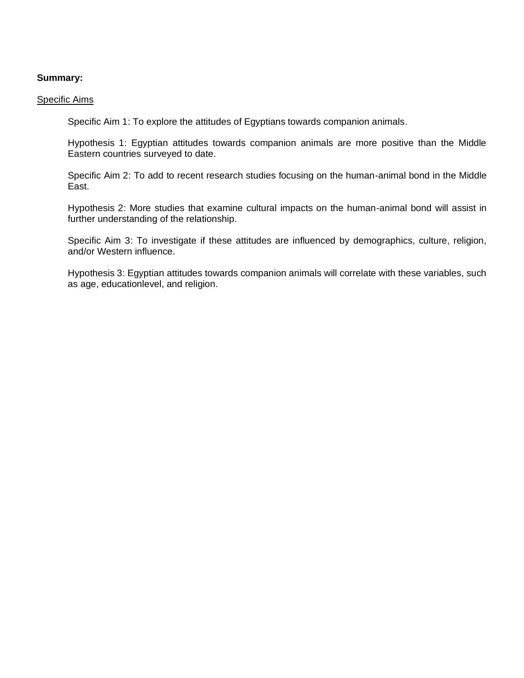#### Specific Aims

Specific Aim 1: To explore the attitudes of Egyptians towards companion animals.

Hypothesis 1: Egyptian attitudes towards companion animals are more positive than the Middle Eastern countries surveyed to date.

Specific Aim 2: To add to recent research studies focusing on the human-animal bond in the Middle East.

Hypothesis 2: More studies that examine cultural impacts on the human-animal bond will assist in further understanding of the relationship.

Specific Aim 3: To investigate if these attitudes are influenced by demographics, culture, religion, and/or Western influence.

Hypothesis 3: Egyptian attitudes towards companion animals will correlate with these variables, such as age, educationlevel, and religion.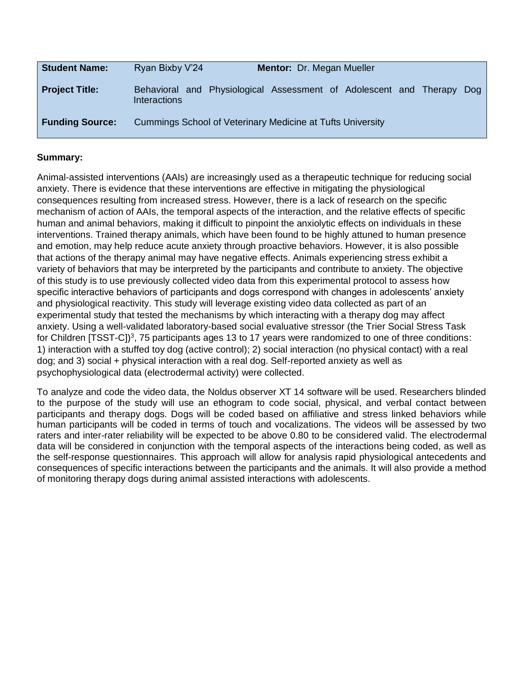| <b>Student Name:</b>   | Ryan Bixby V'24<br><b>Mentor: Dr. Megan Mueller</b>                                      |       |
|------------------------|------------------------------------------------------------------------------------------|-------|
| <b>Project Title:</b>  | Behavioral and Physiological Assessment of Adolescent and Therapy<br><b>Interactions</b> | Dog I |
| <b>Funding Source:</b> | Cummings School of Veterinary Medicine at Tufts University                               |       |

Animal-assisted interventions (AAIs) are increasingly used as a therapeutic technique for reducing social anxiety. There is evidence that these interventions are effective in mitigating the physiological consequences resulting from increased stress. However, there is a lack of research on the specific mechanism of action of AAIs, the temporal aspects of the interaction, and the relative effects of specific human and animal behaviors, making it difficult to pinpoint the anxiolytic effects on individuals in these interventions. Trained therapy animals, which have been found to be highly attuned to human presence and emotion, may help reduce acute anxiety through proactive behaviors. However, it is also possible that actions of the therapy animal may have negative effects. Animals experiencing stress exhibit a variety of behaviors that may be interpreted by the participants and contribute to anxiety. The objective of this study is to use previously collected video data from this experimental protocol to assess how specific interactive behaviors of participants and dogs correspond with changes in adolescents' anxiety and physiological reactivity. This study will leverage existing video data collected as part of an experimental study that tested the mechanisms by which interacting with a therapy dog may affect anxiety. Using a well-validated laboratory-based social evaluative stressor (the Trier Social Stress Task for Children [TSST-C])<sup>3</sup>, 75 participants ages 13 to 17 years were randomized to one of three conditions: 1) interaction with a stuffed toy dog (active control); 2) social interaction (no physical contact) with a real dog; and 3) social + physical interaction with a real dog. Self-reported anxiety as well as psychophysiological data (electrodermal activity) were collected.

To analyze and code the video data, the Noldus observer XT 14 software will be used. Researchers blinded to the purpose of the study will use an ethogram to code social, physical, and verbal contact between participants and therapy dogs. Dogs will be coded based on affiliative and stress linked behaviors while human participants will be coded in terms of touch and vocalizations. The videos will be assessed by two raters and inter-rater reliability will be expected to be above 0.80 to be considered valid. The electrodermal data will be considered in conjunction with the temporal aspects of the interactions being coded, as well as the self-response questionnaires. This approach will allow for analysis rapid physiological antecedents and consequences of specific interactions between the participants and the animals. It will also provide a method of monitoring therapy dogs during animal assisted interactions with adolescents.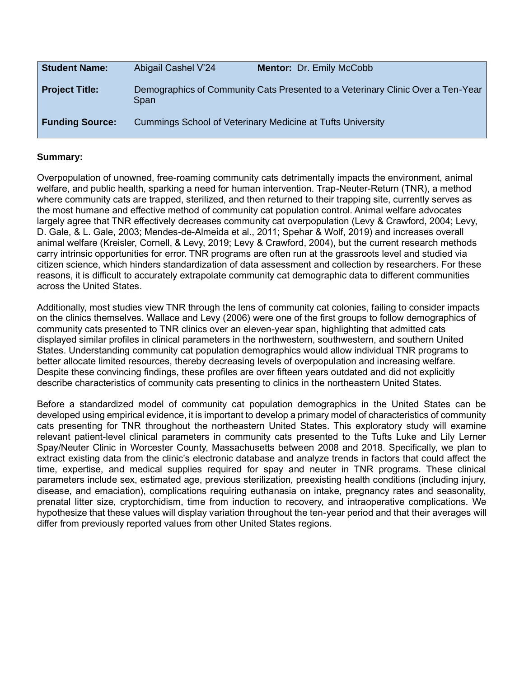| <b>Student Name:</b>   | Abigail Cashel V'24                                        | <b>Mentor: Dr. Emily McCobb</b>                                                 |
|------------------------|------------------------------------------------------------|---------------------------------------------------------------------------------|
| <b>Project Title:</b>  | Span                                                       | Demographics of Community Cats Presented to a Veterinary Clinic Over a Ten-Year |
| <b>Funding Source:</b> | Cummings School of Veterinary Medicine at Tufts University |                                                                                 |

Overpopulation of unowned, free-roaming community cats detrimentally impacts the environment, animal welfare, and public health, sparking a need for human intervention. Trap-Neuter-Return (TNR), a method where community cats are trapped, sterilized, and then returned to their trapping site, currently serves as the most humane and effective method of community cat population control. Animal welfare advocates largely agree that TNR effectively decreases community cat overpopulation (Levy & Crawford, 2004; Levy, D. Gale, & L. Gale, 2003; Mendes-de-Almeida et al., 2011; Spehar & Wolf, 2019) and increases overall animal welfare (Kreisler, Cornell, & Levy, 2019; Levy & Crawford, 2004), but the current research methods carry intrinsic opportunities for error. TNR programs are often run at the grassroots level and studied via citizen science, which hinders standardization of data assessment and collection by researchers. For these reasons, it is difficult to accurately extrapolate community cat demographic data to different communities across the United States.

Additionally, most studies view TNR through the lens of community cat colonies, failing to consider impacts on the clinics themselves. Wallace and Levy (2006) were one of the first groups to follow demographics of community cats presented to TNR clinics over an eleven-year span, highlighting that admitted cats displayed similar profiles in clinical parameters in the northwestern, southwestern, and southern United States. Understanding community cat population demographics would allow individual TNR programs to better allocate limited resources, thereby decreasing levels of overpopulation and increasing welfare. Despite these convincing findings, these profiles are over fifteen years outdated and did not explicitly describe characteristics of community cats presenting to clinics in the northeastern United States.

Before a standardized model of community cat population demographics in the United States can be developed using empirical evidence, it is important to develop a primary model of characteristics of community cats presenting for TNR throughout the northeastern United States. This exploratory study will examine relevant patient-level clinical parameters in community cats presented to the Tufts Luke and Lily Lerner Spay/Neuter Clinic in Worcester County, Massachusetts between 2008 and 2018. Specifically, we plan to extract existing data from the clinic's electronic database and analyze trends in factors that could affect the time, expertise, and medical supplies required for spay and neuter in TNR programs. These clinical parameters include sex, estimated age, previous sterilization, preexisting health conditions (including injury, disease, and emaciation), complications requiring euthanasia on intake, pregnancy rates and seasonality, prenatal litter size, cryptorchidism, time from induction to recovery, and intraoperative complications. We hypothesize that these values will display variation throughout the ten-year period and that their averages will differ from previously reported values from other United States regions.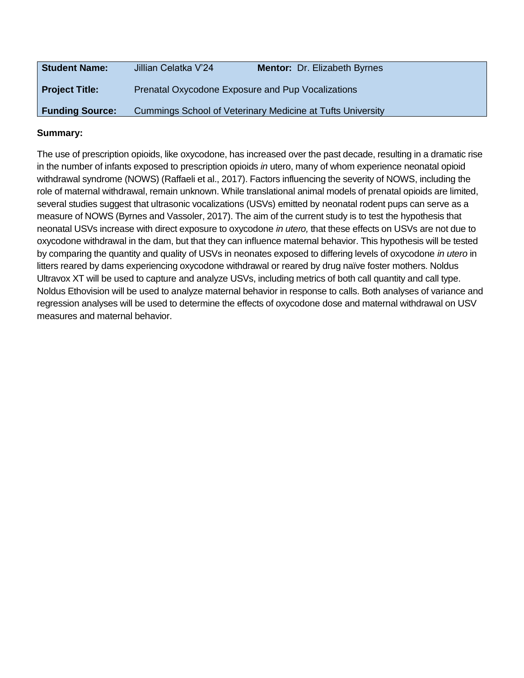| <b>Student Name:</b>   | Jillian Celatka V'24                              | Mentor: Dr. Elizabeth Byrnes                               |
|------------------------|---------------------------------------------------|------------------------------------------------------------|
| <b>Project Title:</b>  | Prenatal Oxycodone Exposure and Pup Vocalizations |                                                            |
| <b>Funding Source:</b> |                                                   | Cummings School of Veterinary Medicine at Tufts University |

The use of prescription opioids, like oxycodone, has increased over the past decade, resulting in a dramatic rise in the number of infants exposed to prescription opioids *in* utero, many of whom experience neonatal opioid withdrawal syndrome (NOWS) (Raffaeli et al., 2017). Factors influencing the severity of NOWS, including the role of maternal withdrawal, remain unknown. While translational animal models of prenatal opioids are limited, several studies suggest that ultrasonic vocalizations (USVs) emitted by neonatal rodent pups can serve as a measure of NOWS (Byrnes and Vassoler, 2017). The aim of the current study is to test the hypothesis that neonatal USVs increase with direct exposure to oxycodone *in utero,* that these effects on USVs are not due to oxycodone withdrawal in the dam, but that they can influence maternal behavior. This hypothesis will be tested by comparing the quantity and quality of USVs in neonates exposed to differing levels of oxycodone *in utero* in litters reared by dams experiencing oxycodone withdrawal or reared by drug naïve foster mothers. Noldus Ultravox XT will be used to capture and analyze USVs, including metrics of both call quantity and call type. Noldus Ethovision will be used to analyze maternal behavior in response to calls. Both analyses of variance and regression analyses will be used to determine the effects of oxycodone dose and maternal withdrawal on USV measures and maternal behavior.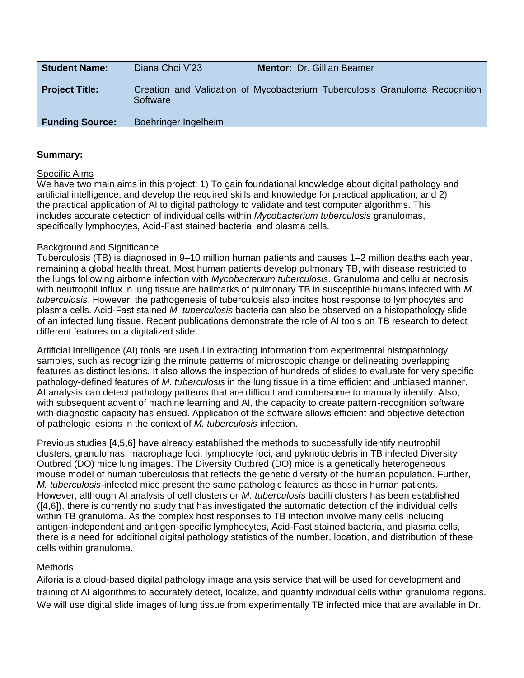| <b>Student Name:</b>   | Diana Choi V'23      | <b>Mentor: Dr. Gillian Beamer</b>                                           |
|------------------------|----------------------|-----------------------------------------------------------------------------|
| <b>Project Title:</b>  | Software             | Creation and Validation of Mycobacterium Tuberculosis Granuloma Recognition |
| <b>Funding Source:</b> | Boehringer Ingelheim |                                                                             |

#### Specific Aims

We have two main aims in this project: 1) To gain foundational knowledge about digital pathology and artificial intelligence, and develop the required skills and knowledge for practical application; and 2) the practical application of AI to digital pathology to validate and test computer algorithms. This includes accurate detection of individual cells within *Mycobacterium tuberculosis* granulomas, specifically lymphocytes, Acid-Fast stained bacteria, and plasma cells.

#### Background and Significance

Tuberculosis (TB) is diagnosed in 9–10 million human patients and causes 1–2 million deaths each year, remaining a global health threat. Most human patients develop pulmonary TB, with disease restricted to the lungs following airborne infection with *Mycobacterium tuberculosis*. Granuloma and cellular necrosis with neutrophil influx in lung tissue are hallmarks of pulmonary TB in susceptible humans infected with *M. tuberculosis*. However, the pathogenesis of tuberculosis also incites host response to lymphocytes and plasma cells. Acid-Fast stained *M. tuberculosis* bacteria can also be observed on a histopathology slide of an infected lung tissue. Recent publications demonstrate the role of AI tools on TB research to detect different features on a digitalized slide.

Artificial Intelligence (AI) tools are useful in extracting information from experimental histopathology samples, such as recognizing the minute patterns of microscopic change or delineating overlapping features as distinct lesions. It also allows the inspection of hundreds of slides to evaluate for very specific pathology-defined features of *M. tuberculosis* in the lung tissue in a time efficient and unbiased manner. AI analysis can detect pathology patterns that are difficult and cumbersome to manually identify. Also, with subsequent advent of machine learning and AI, the capacity to create pattern-recognition software with diagnostic capacity has ensued. Application of the software allows efficient and objective detection of pathologic lesions in the context of *M. tuberculosis* infection.

Previous studies [4,5,6] have already established the methods to successfully identify neutrophil clusters, granulomas, macrophage foci, lymphocyte foci, and pyknotic debris in TB infected Diversity Outbred (DO) mice lung images. The Diversity Outbred (DO) mice is a genetically heterogeneous mouse model of human tuberculosis that reflects the genetic diversity of the human population. Further, *M. tuberculosis*-infected mice present the same pathologic features as those in human patients. However, although AI analysis of cell clusters or *M. tuberculosis* bacilli clusters has been established ([4,6]), there is currently no study that has investigated the automatic detection of the individual cells within TB granuloma. As the complex host responses to TB infection involve many cells including antigen-independent and antigen-specific lymphocytes, Acid-Fast stained bacteria, and plasma cells, there is a need for additional digital pathology statistics of the number, location, and distribution of these cells within granuloma.

#### Methods

Aiforia is a cloud-based digital pathology image analysis service that will be used for development and training of AI algorithms to accurately detect, localize, and quantify individual cells within granuloma regions. We will use digital slide images of lung tissue from experimentally TB infected mice that are available in Dr.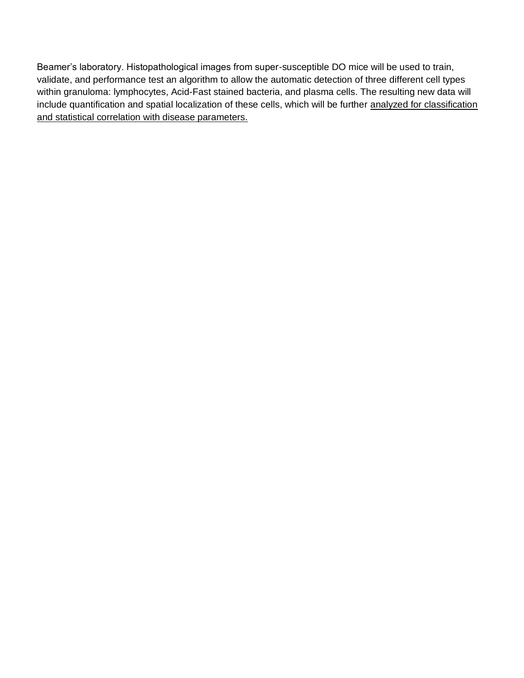Beamer's laboratory. Histopathological images from super-susceptible DO mice will be used to train, validate, and performance test an algorithm to allow the automatic detection of three different cell types within granuloma: lymphocytes, Acid-Fast stained bacteria, and plasma cells. The resulting new data will include quantification and spatial localization of these cells, which will be further analyzed for classification and statistical correlation with disease parameters.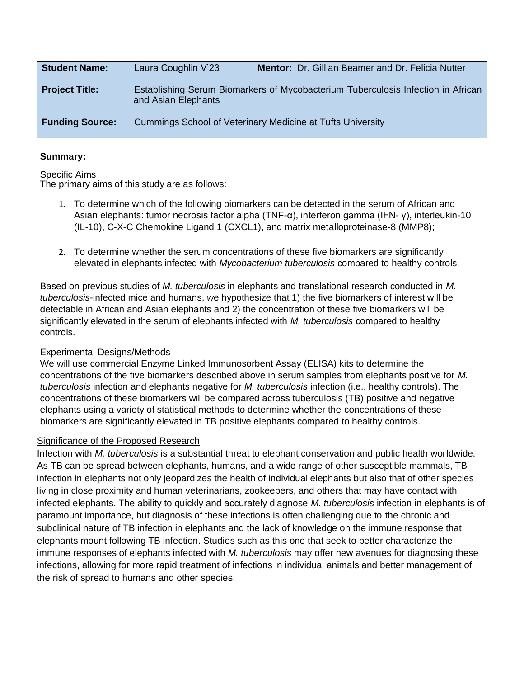| <b>Student Name:</b>   | Laura Coughlin V'23 | Mentor: Dr. Gillian Beamer and Dr. Felicia Nutter                                |
|------------------------|---------------------|----------------------------------------------------------------------------------|
| <b>Project Title:</b>  | and Asian Elephants | Establishing Serum Biomarkers of Mycobacterium Tuberculosis Infection in African |
| <b>Funding Source:</b> |                     | Cummings School of Veterinary Medicine at Tufts University                       |

#### **Specific Aims**

The primary aims of this study are as follows:

- 1. To determine which of the following biomarkers can be detected in the serum of African and Asian elephants: tumor necrosis factor alpha (TNF-α), interferon gamma (IFN- γ), interleukin-10 (IL-10), C-X-C Chemokine Ligand 1 (CXCL1), and matrix metalloproteinase-8 (MMP8);
- 2. To determine whether the serum concentrations of these five biomarkers are significantly elevated in elephants infected with *Mycobacterium tuberculosis* compared to healthy controls.

Based on previous studies of *M. tuberculosis* in elephants and translational research conducted in *M. tuberculosis*-infected mice and humans, *w*e hypothesize that 1) the five biomarkers of interest will be detectable in African and Asian elephants and 2) the concentration of these five biomarkers will be significantly elevated in the serum of elephants infected with *M. tuberculosis* compared to healthy controls.

# Experimental Designs/Methods

We will use commercial Enzyme Linked Immunosorbent Assay (ELISA) kits to determine the concentrations of the five biomarkers described above in serum samples from elephants positive for *M. tuberculosis* infection and elephants negative for *M. tuberculosis* infection (i.e., healthy controls). The concentrations of these biomarkers will be compared across tuberculosis (TB) positive and negative elephants using a variety of statistical methods to determine whether the concentrations of these biomarkers are significantly elevated in TB positive elephants compared to healthy controls.

# Significance of the Proposed Research

Infection with *M. tuberculosis* is a substantial threat to elephant conservation and public health worldwide. As TB can be spread between elephants, humans, and a wide range of other susceptible mammals, TB infection in elephants not only jeopardizes the health of individual elephants but also that of other species living in close proximity and human veterinarians, zookeepers, and others that may have contact with infected elephants. The ability to quickly and accurately diagnose *M. tuberculosis* infection in elephants is of paramount importance, but diagnosis of these infections is often challenging due to the chronic and subclinical nature of TB infection in elephants and the lack of knowledge on the immune response that elephants mount following TB infection. Studies such as this one that seek to better characterize the immune responses of elephants infected with *M. tuberculosis* may offer new avenues for diagnosing these infections, allowing for more rapid treatment of infections in individual animals and better management of the risk of spread to humans and other species.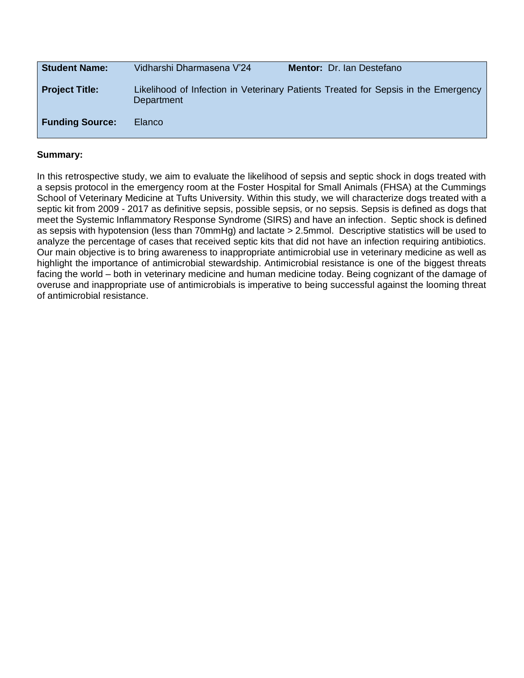| <b>Student Name:</b>   | Vidharshi Dharmasena V'24 | <b>Mentor: Dr. Ian Destefano</b>                                                   |
|------------------------|---------------------------|------------------------------------------------------------------------------------|
| <b>Project Title:</b>  | Department                | Likelihood of Infection in Veterinary Patients Treated for Sepsis in the Emergency |
| <b>Funding Source:</b> | <b>Elanco</b>             |                                                                                    |

In this retrospective study, we aim to evaluate the likelihood of sepsis and septic shock in dogs treated with a sepsis protocol in the emergency room at the Foster Hospital for Small Animals (FHSA) at the Cummings School of Veterinary Medicine at Tufts University. Within this study, we will characterize dogs treated with a septic kit from 2009 - 2017 as definitive sepsis, possible sepsis, or no sepsis. Sepsis is defined as dogs that meet the Systemic Inflammatory Response Syndrome (SIRS) and have an infection. Septic shock is defined as sepsis with hypotension (less than 70mmHg) and lactate > 2.5mmol. Descriptive statistics will be used to analyze the percentage of cases that received septic kits that did not have an infection requiring antibiotics. Our main objective is to bring awareness to inappropriate antimicrobial use in veterinary medicine as well as highlight the importance of antimicrobial stewardship. Antimicrobial resistance is one of the biggest threats facing the world – both in veterinary medicine and human medicine today. Being cognizant of the damage of overuse and inappropriate use of antimicrobials is imperative to being successful against the looming threat of antimicrobial resistance.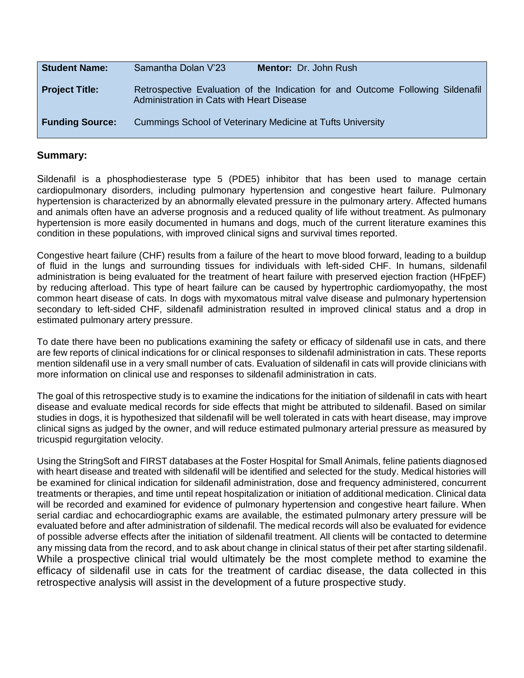| <b>Student Name:</b>   | Samantha Dolan V'23<br><b>Mentor: Dr. John Rush</b>                                                                          |
|------------------------|------------------------------------------------------------------------------------------------------------------------------|
| <b>Project Title:</b>  | Retrospective Evaluation of the Indication for and Outcome Following Sildenafil<br>Administration in Cats with Heart Disease |
| <b>Funding Source:</b> | Cummings School of Veterinary Medicine at Tufts University                                                                   |

Sildenafil is a phosphodiesterase type 5 (PDE5) inhibitor that has been used to manage certain cardiopulmonary disorders, including pulmonary hypertension and congestive heart failure. Pulmonary hypertension is characterized by an abnormally elevated pressure in the pulmonary artery. Affected humans and animals often have an adverse prognosis and a reduced quality of life without treatment. As pulmonary hypertension is more easily documented in humans and dogs, much of the current literature examines this condition in these populations, with improved clinical signs and survival times reported.

Congestive heart failure (CHF) results from a failure of the heart to move blood forward, leading to a buildup of fluid in the lungs and surrounding tissues for individuals with left-sided CHF. In humans, sildenafil administration is being evaluated for the treatment of heart failure with preserved ejection fraction (HFpEF) by reducing afterload. This type of heart failure can be caused by hypertrophic cardiomyopathy, the most common heart disease of cats. In dogs with myxomatous mitral valve disease and pulmonary hypertension secondary to left-sided CHF, sildenafil administration resulted in improved clinical status and a drop in estimated pulmonary artery pressure.

To date there have been no publications examining the safety or efficacy of sildenafil use in cats, and there are few reports of clinical indications for or clinical responses to sildenafil administration in cats. These reports mention sildenafil use in a very small number of cats. Evaluation of sildenafil in cats will provide clinicians with more information on clinical use and responses to sildenafil administration in cats.

The goal of this retrospective study is to examine the indications for the initiation of sildenafil in cats with heart disease and evaluate medical records for side effects that might be attributed to sildenafil. Based on similar studies in dogs, it is hypothesized that sildenafil will be well tolerated in cats with heart disease, may improve clinical signs as judged by the owner, and will reduce estimated pulmonary arterial pressure as measured by tricuspid regurgitation velocity.

Using the StringSoft and FIRST databases at the Foster Hospital for Small Animals, feline patients diagnosed with heart disease and treated with sildenafil will be identified and selected for the study. Medical histories will be examined for clinical indication for sildenafil administration, dose and frequency administered, concurrent treatments or therapies, and time until repeat hospitalization or initiation of additional medication. Clinical data will be recorded and examined for evidence of pulmonary hypertension and congestive heart failure. When serial cardiac and echocardiographic exams are available, the estimated pulmonary artery pressure will be evaluated before and after administration of sildenafil. The medical records will also be evaluated for evidence of possible adverse effects after the initiation of sildenafil treatment. All clients will be contacted to determine any missing data from the record, and to ask about change in clinical status of their pet after starting sildenafil. While a prospective clinical trial would ultimately be the most complete method to examine the efficacy of sildenafil use in cats for the treatment of cardiac disease, the data collected in this retrospective analysis will assist in the development of a future prospective study.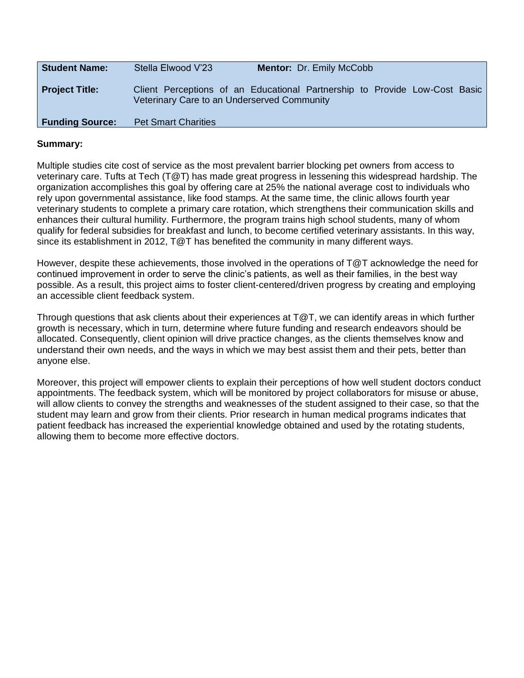| <b>Student Name:</b>   | Stella Elwood V'23                          | <b>Mentor: Dr. Emily McCobb</b>                                            |  |
|------------------------|---------------------------------------------|----------------------------------------------------------------------------|--|
| <b>Project Title:</b>  | Veterinary Care to an Underserved Community | Client Perceptions of an Educational Partnership to Provide Low-Cost Basic |  |
| <b>Funding Source:</b> | <b>Pet Smart Charities</b>                  |                                                                            |  |

Multiple studies cite cost of service as the most prevalent barrier blocking pet owners from access to veterinary care. Tufts at Tech (T@T) has made great progress in lessening this widespread hardship. The organization accomplishes this goal by offering care at 25% the national average cost to individuals who rely upon governmental assistance, like food stamps. At the same time, the clinic allows fourth year veterinary students to complete a primary care rotation, which strengthens their communication skills and enhances their cultural humility. Furthermore, the program trains high school students, many of whom qualify for federal subsidies for breakfast and lunch, to become certified veterinary assistants. In this way, since its establishment in 2012, T@T has benefited the community in many different ways.

However, despite these achievements, those involved in the operations of T@T acknowledge the need for continued improvement in order to serve the clinic's patients, as well as their families, in the best way possible. As a result, this project aims to foster client-centered/driven progress by creating and employing an accessible client feedback system.

Through questions that ask clients about their experiences at T@T, we can identify areas in which further growth is necessary, which in turn, determine where future funding and research endeavors should be allocated. Consequently, client opinion will drive practice changes, as the clients themselves know and understand their own needs, and the ways in which we may best assist them and their pets, better than anyone else.

Moreover, this project will empower clients to explain their perceptions of how well student doctors conduct appointments. The feedback system, which will be monitored by project collaborators for misuse or abuse, will allow clients to convey the strengths and weaknesses of the student assigned to their case, so that the student may learn and grow from their clients. Prior research in human medical programs indicates that patient feedback has increased the experiential knowledge obtained and used by the rotating students, allowing them to become more effective doctors.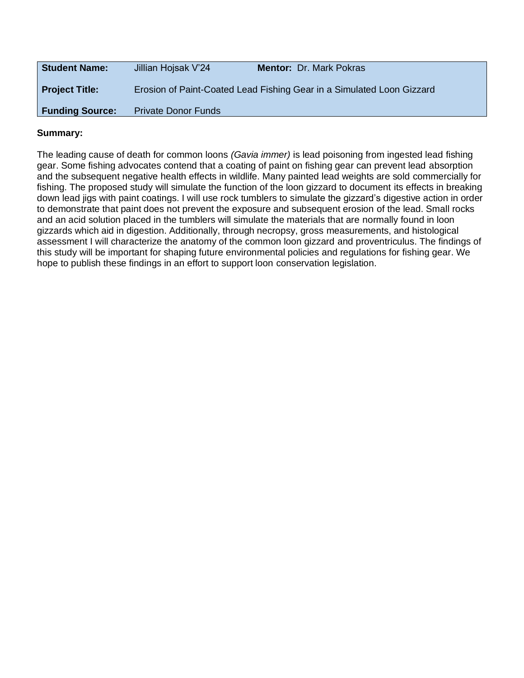| <b>Student Name:</b>   | Jillian Hojsak V'24        | <b>Mentor: Dr. Mark Pokras</b>                                        |
|------------------------|----------------------------|-----------------------------------------------------------------------|
| <b>Project Title:</b>  |                            | Erosion of Paint-Coated Lead Fishing Gear in a Simulated Loon Gizzard |
| <b>Funding Source:</b> | <b>Private Donor Funds</b> |                                                                       |

The leading cause of death for common loons *(Gavia immer)* is lead poisoning from ingested lead fishing gear. Some fishing advocates contend that a coating of paint on fishing gear can prevent lead absorption and the subsequent negative health effects in wildlife. Many painted lead weights are sold commercially for fishing. The proposed study will simulate the function of the loon gizzard to document its effects in breaking down lead jigs with paint coatings. I will use rock tumblers to simulate the gizzard's digestive action in order to demonstrate that paint does not prevent the exposure and subsequent erosion of the lead. Small rocks and an acid solution placed in the tumblers will simulate the materials that are normally found in loon gizzards which aid in digestion. Additionally, through necropsy, gross measurements, and histological assessment I will characterize the anatomy of the common loon gizzard and proventriculus. The findings of this study will be important for shaping future environmental policies and regulations for fishing gear. We hope to publish these findings in an effort to support loon conservation legislation.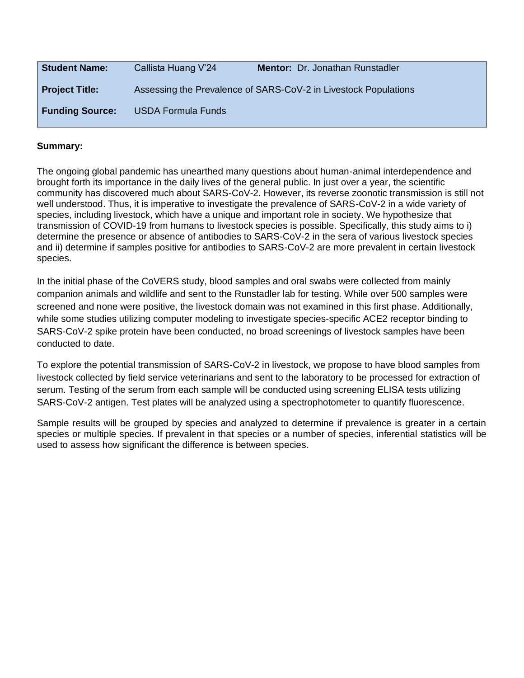| <b>Student Name:</b>   | Callista Huang V'24       | <b>Mentor: Dr. Jonathan Runstadler</b>                          |
|------------------------|---------------------------|-----------------------------------------------------------------|
| <b>Project Title:</b>  |                           | Assessing the Prevalence of SARS-CoV-2 in Livestock Populations |
| <b>Funding Source:</b> | <b>USDA Formula Funds</b> |                                                                 |

The ongoing global pandemic has unearthed many questions about human-animal interdependence and brought forth its importance in the daily lives of the general public. In just over a year, the scientific community has discovered much about SARS-CoV-2. However, its reverse zoonotic transmission is still not well understood. Thus, it is imperative to investigate the prevalence of SARS-CoV-2 in a wide variety of species, including livestock, which have a unique and important role in society. We hypothesize that transmission of COVID-19 from humans to livestock species is possible. Specifically, this study aims to i) determine the presence or absence of antibodies to SARS-CoV-2 in the sera of various livestock species and ii) determine if samples positive for antibodies to SARS-CoV-2 are more prevalent in certain livestock species.

In the initial phase of the CoVERS study, blood samples and oral swabs were collected from mainly companion animals and wildlife and sent to the Runstadler lab for testing. While over 500 samples were screened and none were positive, the livestock domain was not examined in this first phase. Additionally, while some studies utilizing computer modeling to investigate species-specific ACE2 receptor binding to SARS-CoV-2 spike protein have been conducted, no broad screenings of livestock samples have been conducted to date.

To explore the potential transmission of SARS-CoV-2 in livestock, we propose to have blood samples from livestock collected by field service veterinarians and sent to the laboratory to be processed for extraction of serum. Testing of the serum from each sample will be conducted using screening ELISA tests utilizing SARS-CoV-2 antigen. Test plates will be analyzed using a spectrophotometer to quantify fluorescence.

Sample results will be grouped by species and analyzed to determine if prevalence is greater in a certain species or multiple species. If prevalent in that species or a number of species, inferential statistics will be used to assess how significant the difference is between species.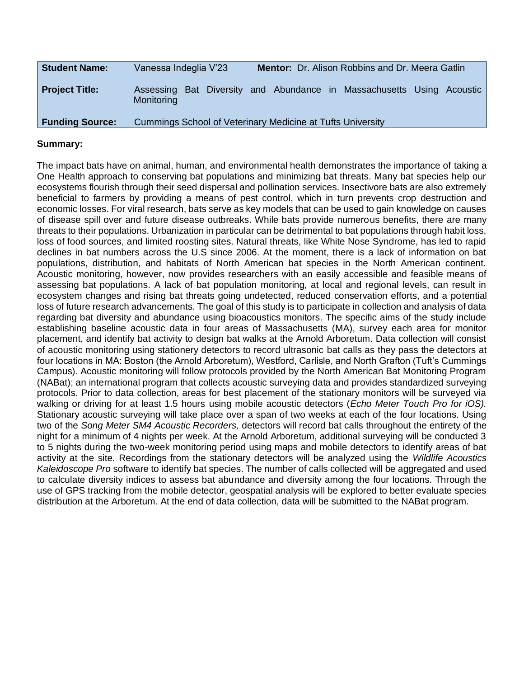| <b>Student Name:</b>   | Vanessa Indeglia V'23 | <b>Mentor:</b> Dr. Alison Robbins and Dr. Meera Gatlin                |
|------------------------|-----------------------|-----------------------------------------------------------------------|
| <b>Project Title:</b>  | Monitoring            | Assessing Bat Diversity and Abundance in Massachusetts Using Acoustic |
| <b>Funding Source:</b> |                       | Cummings School of Veterinary Medicine at Tufts University            |

The impact bats have on animal, human, and environmental health demonstrates the importance of taking a One Health approach to conserving bat populations and minimizing bat threats. Many bat species help our ecosystems flourish through their seed dispersal and pollination services. Insectivore bats are also extremely beneficial to farmers by providing a means of pest control, which in turn prevents crop destruction and economic losses. For viral research, bats serve as key models that can be used to gain knowledge on causes of disease spill over and future disease outbreaks. While bats provide numerous benefits, there are many threats to their populations. Urbanization in particular can be detrimental to bat populations through habit loss, loss of food sources, and limited roosting sites. Natural threats, like White Nose Syndrome, has led to rapid declines in bat numbers across the U.S since 2006. At the moment, there is a lack of information on bat populations, distribution, and habitats of North American bat species in the North American continent. Acoustic monitoring, however, now provides researchers with an easily accessible and feasible means of assessing bat populations. A lack of bat population monitoring, at local and regional levels, can result in ecosystem changes and rising bat threats going undetected, reduced conservation efforts, and a potential loss of future research advancements. The goal of this study is to participate in collection and analysis of data regarding bat diversity and abundance using bioacoustics monitors. The specific aims of the study include establishing baseline acoustic data in four areas of Massachusetts (MA), survey each area for monitor placement, and identify bat activity to design bat walks at the Arnold Arboretum. Data collection will consist of acoustic monitoring using stationery detectors to record ultrasonic bat calls as they pass the detectors at four locations in MA: Boston (the Arnold Arboretum), Westford, Carlisle, and North Grafton (Tuft's Cummings Campus). Acoustic monitoring will follow protocols provided by the North American Bat Monitoring Program (NABat); an international program that collects acoustic surveying data and provides standardized surveying protocols. Prior to data collection, areas for best placement of the stationary monitors will be surveyed via walking or driving for at least 1.5 hours using mobile acoustic detectors (*Echo Meter Touch Pro for iOS).*  Stationary acoustic surveying will take place over a span of two weeks at each of the four locations. Using two of the *Song Meter SM4 Acoustic Recorders,* detectors will record bat calls throughout the entirety of the night for a minimum of 4 nights per week. At the Arnold Arboretum, additional surveying will be conducted 3 to 5 nights during the two-week monitoring period using maps and mobile detectors to identify areas of bat activity at the site*.* Recordings from the stationary detectors will be analyzed using the *Wildlife Acoustics Kaleidoscope Pro* software to identify bat species. The number of calls collected will be aggregated and used to calculate diversity indices to assess bat abundance and diversity among the four locations. Through the use of GPS tracking from the mobile detector, geospatial analysis will be explored to better evaluate species distribution at the Arboretum. At the end of data collection, data will be submitted to the NABat program.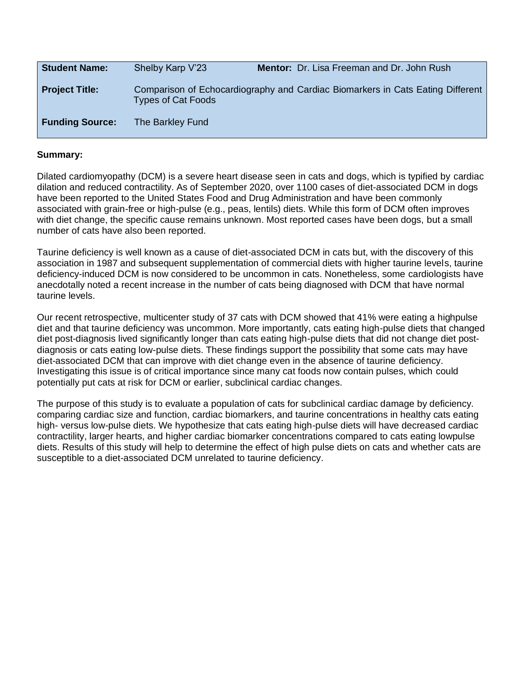| <b>Student Name:</b>   | Shelby Karp V'23          | <b>Mentor:</b> Dr. Lisa Freeman and Dr. John Rush                              |
|------------------------|---------------------------|--------------------------------------------------------------------------------|
| <b>Project Title:</b>  | <b>Types of Cat Foods</b> | Comparison of Echocardiography and Cardiac Biomarkers in Cats Eating Different |
| <b>Funding Source:</b> | The Barkley Fund          |                                                                                |

Dilated cardiomyopathy (DCM) is a severe heart disease seen in cats and dogs, which is typified by cardiac dilation and reduced contractility. As of September 2020, over 1100 cases of diet-associated DCM in dogs have been reported to the United States Food and Drug Administration and have been commonly associated with grain-free or high-pulse (e.g., peas, lentils) diets. While this form of DCM often improves with diet change, the specific cause remains unknown. Most reported cases have been dogs, but a small number of cats have also been reported.

Taurine deficiency is well known as a cause of diet-associated DCM in cats but, with the discovery of this association in 1987 and subsequent supplementation of commercial diets with higher taurine levels, taurine deficiency-induced DCM is now considered to be uncommon in cats. Nonetheless, some cardiologists have anecdotally noted a recent increase in the number of cats being diagnosed with DCM that have normal taurine levels.

Our recent retrospective, multicenter study of 37 cats with DCM showed that 41% were eating a highpulse diet and that taurine deficiency was uncommon. More importantly, cats eating high-pulse diets that changed diet post-diagnosis lived significantly longer than cats eating high-pulse diets that did not change diet postdiagnosis or cats eating low-pulse diets. These findings support the possibility that some cats may have diet-associated DCM that can improve with diet change even in the absence of taurine deficiency. Investigating this issue is of critical importance since many cat foods now contain pulses, which could potentially put cats at risk for DCM or earlier, subclinical cardiac changes.

The purpose of this study is to evaluate a population of cats for subclinical cardiac damage by deficiency. comparing cardiac size and function, cardiac biomarkers, and taurine concentrations in healthy cats eating high- versus low-pulse diets. We hypothesize that cats eating high-pulse diets will have decreased cardiac contractility, larger hearts, and higher cardiac biomarker concentrations compared to cats eating lowpulse diets. Results of this study will help to determine the effect of high pulse diets on cats and whether cats are susceptible to a diet-associated DCM unrelated to taurine deficiency.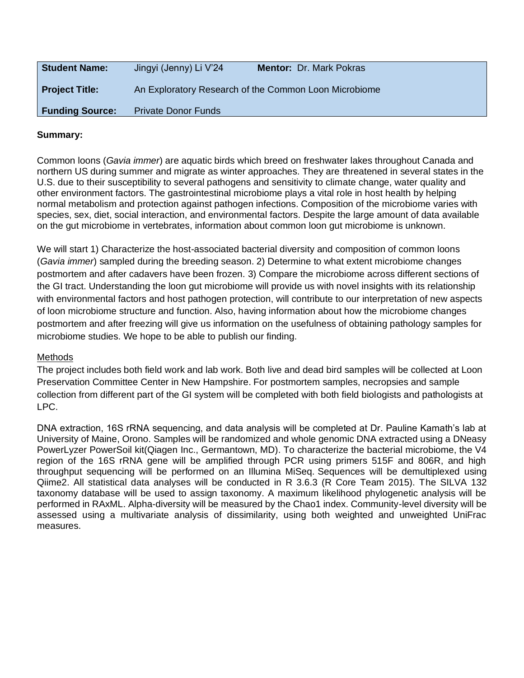| <b>Student Name:</b>   | Jingyi (Jenny) Li V'24     | <b>Mentor: Dr. Mark Pokras</b>                        |
|------------------------|----------------------------|-------------------------------------------------------|
| <b>Project Title:</b>  |                            | An Exploratory Research of the Common Loon Microbiome |
| <b>Funding Source:</b> | <b>Private Donor Funds</b> |                                                       |

Common loons (*Gavia immer*) are aquatic birds which breed on freshwater lakes throughout Canada and northern US during summer and migrate as winter approaches. They are threatened in several states in the U.S. due to their susceptibility to several pathogens and sensitivity to climate change, water quality and other environment factors. The gastrointestinal microbiome plays a vital role in host health by helping normal metabolism and protection against pathogen infections. Composition of the microbiome varies with species, sex, diet, social interaction, and environmental factors. Despite the large amount of data available on the gut microbiome in vertebrates, information about common loon gut microbiome is unknown.

We will start 1) Characterize the host-associated bacterial diversity and composition of common loons (*Gavia immer*) sampled during the breeding season. 2) Determine to what extent microbiome changes postmortem and after cadavers have been frozen. 3) Compare the microbiome across different sections of the GI tract. Understanding the loon gut microbiome will provide us with novel insights with its relationship with environmental factors and host pathogen protection, will contribute to our interpretation of new aspects of loon microbiome structure and function. Also, having information about how the microbiome changes postmortem and after freezing will give us information on the usefulness of obtaining pathology samples for microbiome studies. We hope to be able to publish our finding.

#### Methods

The project includes both field work and lab work. Both live and dead bird samples will be collected at Loon Preservation Committee Center in New Hampshire. For postmortem samples, necropsies and sample collection from different part of the GI system will be completed with both field biologists and pathologists at LPC.

DNA extraction, 16S rRNA sequencing, and data analysis will be completed at Dr. Pauline Kamath's lab at University of Maine, Orono. Samples will be randomized and whole genomic DNA extracted using a DNeasy PowerLyzer PowerSoil kit(Qiagen Inc., Germantown, MD). To characterize the bacterial microbiome, the V4 region of the 16S rRNA gene will be amplified through PCR using primers 515F and 806R, and high throughput sequencing will be performed on an Illumina MiSeq. Sequences will be demultiplexed using Qiime2. All statistical data analyses will be conducted in R 3.6.3 (R Core Team 2015). The SILVA 132 taxonomy database will be used to assign taxonomy. A maximum likelihood phylogenetic analysis will be performed in RAxML. Alpha-diversity will be measured by the Chao1 index. Community-level diversity will be assessed using a multivariate analysis of dissimilarity, using both weighted and unweighted UniFrac measures.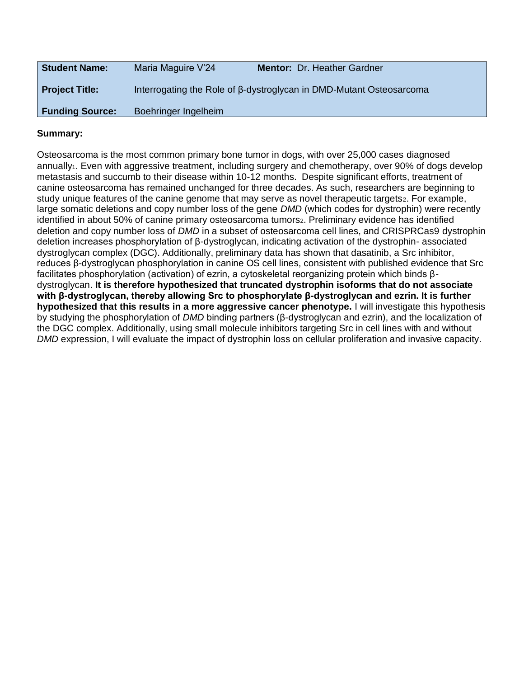| <b>Student Name:</b>   | Maria Maguire V'24   | <b>Mentor: Dr. Heather Gardner</b>                                  |
|------------------------|----------------------|---------------------------------------------------------------------|
| <b>Project Title:</b>  |                      | Interrogating the Role of β-dystroglycan in DMD-Mutant Osteosarcoma |
| <b>Funding Source:</b> | Boehringer Ingelheim |                                                                     |

Osteosarcoma is the most common primary bone tumor in dogs, with over 25,000 cases diagnosed annually<sub>1</sub>. Even with aggressive treatment, including surgery and chemotherapy, over 90% of dogs develop metastasis and succumb to their disease within 10-12 months. Despite significant efforts, treatment of canine osteosarcoma has remained unchanged for three decades. As such, researchers are beginning to study unique features of the canine genome that may serve as novel therapeutic targets<sub>2</sub>. For example, large somatic deletions and copy number loss of the gene *DMD* (which codes for dystrophin) were recently identified in about 50% of canine primary osteosarcoma tumors<sub>2</sub>. Preliminary evidence has identified deletion and copy number loss of *DMD* in a subset of osteosarcoma cell lines, and CRISPRCas9 dystrophin deletion increases phosphorylation of β-dystroglycan, indicating activation of the dystrophin- associated dystroglycan complex (DGC). Additionally, preliminary data has shown that dasatinib, a Src inhibitor, reduces β-dystroglycan phosphorylation in canine OS cell lines, consistent with published evidence that Src facilitates phosphorylation (activation) of ezrin, a cytoskeletal reorganizing protein which binds βdystroglycan. **It is therefore hypothesized that truncated dystrophin isoforms that do not associate with β-dystroglycan, thereby allowing Src to phosphorylate β-dystroglycan and ezrin. It is further hypothesized that this results in a more aggressive cancer phenotype.** I will investigate this hypothesis by studying the phosphorylation of *DMD* binding partners (β-dystroglycan and ezrin), and the localization of the DGC complex. Additionally, using small molecule inhibitors targeting Src in cell lines with and without *DMD* expression, I will evaluate the impact of dystrophin loss on cellular proliferation and invasive capacity.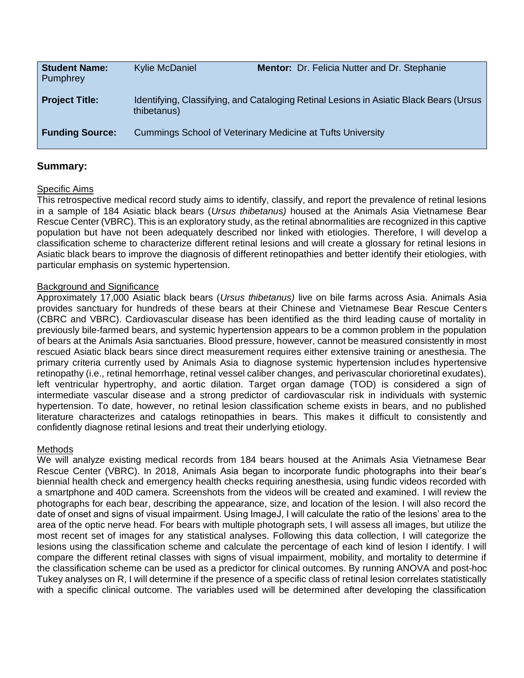| <b>Student Name:</b><br>Pumphrey | <b>Kylie McDaniel</b> | Mentor: Dr. Felicia Nutter and Dr. Stephanie                                           |
|----------------------------------|-----------------------|----------------------------------------------------------------------------------------|
| <b>Project Title:</b>            | thibetanus)           | Identifying, Classifying, and Cataloging Retinal Lesions in Asiatic Black Bears (Ursus |
| <b>Funding Source:</b>           |                       | Cummings School of Veterinary Medicine at Tufts University                             |

#### Specific Aims

This retrospective medical record study aims to identify, classify, and report the prevalence of retinal lesions in a sample of 184 Asiatic black bears (*Ursus thibetanus)* housed at the Animals Asia Vietnamese Bear Rescue Center (VBRC). This is an exploratory study, as the retinal abnormalities are recognized in this captive population but have not been adequately described nor linked with etiologies. Therefore, I will develop a classification scheme to characterize different retinal lesions and will create a glossary for retinal lesions in Asiatic black bears to improve the diagnosis of different retinopathies and better identify their etiologies, with particular emphasis on systemic hypertension.

#### Background and Significance

Approximately 17,000 Asiatic black bears (*Ursus thibetanus)* live on bile farms across Asia. Animals Asia provides sanctuary for hundreds of these bears at their Chinese and Vietnamese Bear Rescue Centers (CBRC and VBRC). Cardiovascular disease has been identified as the third leading cause of mortality in previously bile-farmed bears, and systemic hypertension appears to be a common problem in the population of bears at the Animals Asia sanctuaries. Blood pressure, however, cannot be measured consistently in most rescued Asiatic black bears since direct measurement requires either extensive training or anesthesia. The primary criteria currently used by Animals Asia to diagnose systemic hypertension includes hypertensive retinopathy (i.e., retinal hemorrhage, retinal vessel caliber changes, and perivascular chorioretinal exudates), left ventricular hypertrophy, and aortic dilation. Target organ damage (TOD) is considered a sign of intermediate vascular disease and a strong predictor of cardiovascular risk in individuals with systemic hypertension. To date, however, no retinal lesion classification scheme exists in bears, and no published literature characterizes and catalogs retinopathies in bears. This makes it difficult to consistently and confidently diagnose retinal lesions and treat their underlying etiology.

#### Methods

We will analyze existing medical records from 184 bears housed at the Animals Asia Vietnamese Bear Rescue Center (VBRC). In 2018, Animals Asia began to incorporate fundic photographs into their bear's biennial health check and emergency health checks requiring anesthesia, using fundic videos recorded with a smartphone and 40D camera. Screenshots from the videos will be created and examined. I will review the photographs for each bear, describing the appearance, size, and location of the lesion. I will also record the date of onset and signs of visual impairment. Using ImageJ, I will calculate the ratio of the lesions' area to the area of the optic nerve head. For bears with multiple photograph sets, I will assess all images, but utilize the most recent set of images for any statistical analyses. Following this data collection, I will categorize the lesions using the classification scheme and calculate the percentage of each kind of lesion I identify. I will compare the different retinal classes with signs of visual impairment, mobility, and mortality to determine if the classification scheme can be used as a predictor for clinical outcomes. By running ANOVA and post-hoc Tukey analyses on R, I will determine if the presence of a specific class of retinal lesion correlates statistically with a specific clinical outcome. The variables used will be determined after developing the classification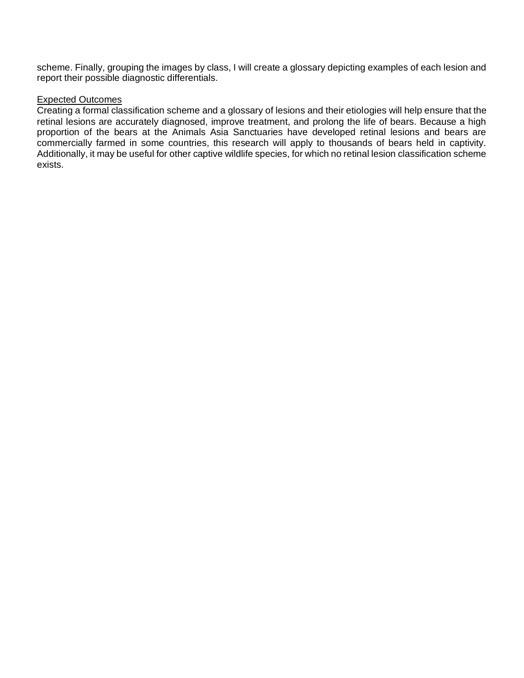scheme. Finally, grouping the images by class, I will create a glossary depicting examples of each lesion and report their possible diagnostic differentials.

#### Expected Outcomes

Creating a formal classification scheme and a glossary of lesions and their etiologies will help ensure that the retinal lesions are accurately diagnosed, improve treatment, and prolong the life of bears. Because a high proportion of the bears at the Animals Asia Sanctuaries have developed retinal lesions and bears are commercially farmed in some countries, this research will apply to thousands of bears held in captivity. Additionally, it may be useful for other captive wildlife species, for which no retinal lesion classification scheme exists.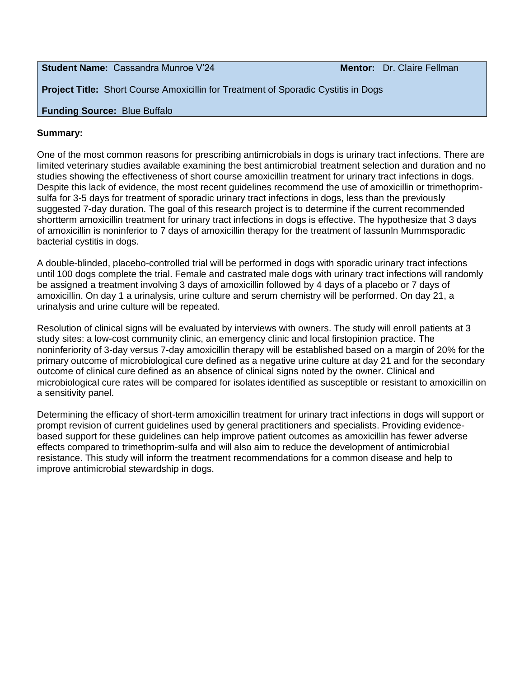**Student Name:** Cassandra Munroe V'24 **Mentor: Dr. Claire Fellman** 

**Project Title:** Short Course Amoxicillin for Treatment of Sporadic Cystitis in Dogs

# **Funding Source:** Blue Buffalo

#### **Summary:**

One of the most common reasons for prescribing antimicrobials in dogs is urinary tract infections. There are limited veterinary studies available examining the best antimicrobial treatment selection and duration and no studies showing the effectiveness of short course amoxicillin treatment for urinary tract infections in dogs. Despite this lack of evidence, the most recent guidelines recommend the use of amoxicillin or trimethoprimsulfa for 3-5 days for treatment of sporadic urinary tract infections in dogs, less than the previously suggested 7-day duration. The goal of this research project is to determine if the current recommended shortterm amoxicillin treatment for urinary tract infections in dogs is effective. The hypothesize that 3 days of amoxicillin is noninferior to 7 days of amoxicillin therapy for the treatment of lassunln Mummsporadic bacterial cystitis in dogs.

A double-blinded, placebo-controlled trial will be performed in dogs with sporadic urinary tract infections until 100 dogs complete the trial. Female and castrated male dogs with urinary tract infections will randomly be assigned a treatment involving 3 days of amoxicillin followed by 4 days of a placebo or 7 days of amoxicillin. On day 1 a urinalysis, urine culture and serum chemistry will be performed. On day 21, a urinalysis and urine culture will be repeated.

Resolution of clinical signs will be evaluated by interviews with owners. The study will enroll patients at 3 study sites: a low-cost community clinic, an emergency clinic and local firstopinion practice. The noninferiority of 3-day versus 7-day amoxicillin therapy will be established based on a margin of 20% for the primary outcome of microbiological cure defined as a negative urine culture at day 21 and for the secondary outcome of clinical cure defined as an absence of clinical signs noted by the owner. Clinical and microbiological cure rates will be compared for isolates identified as susceptible or resistant to amoxicillin on a sensitivity panel.

Determining the efficacy of short-term amoxicillin treatment for urinary tract infections in dogs will support or prompt revision of current guidelines used by general practitioners and specialists. Providing evidencebased support for these guidelines can help improve patient outcomes as amoxicillin has fewer adverse effects compared to trimethoprim-sulfa and will also aim to reduce the development of antimicrobial resistance. This study will inform the treatment recommendations for a common disease and help to improve antimicrobial stewardship in dogs.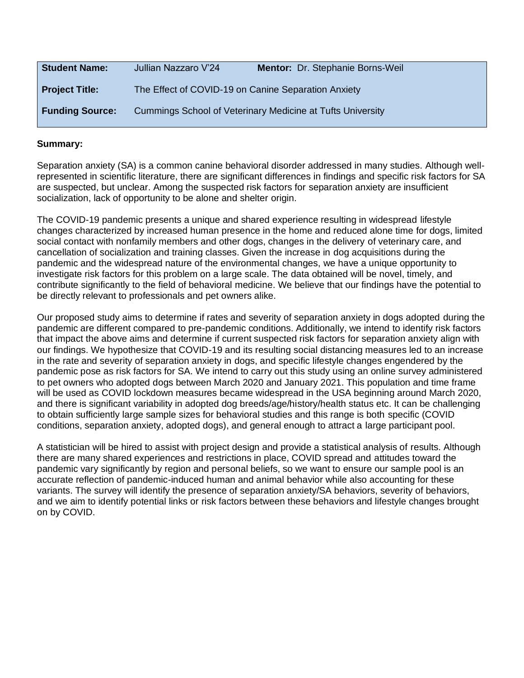| <b>Student Name:</b>   | Jullian Nazzaro V'24                                | Mentor: Dr. Stephanie Borns-Weil                           |
|------------------------|-----------------------------------------------------|------------------------------------------------------------|
| <b>Project Title:</b>  | The Effect of COVID-19 on Canine Separation Anxiety |                                                            |
| <b>Funding Source:</b> |                                                     | Cummings School of Veterinary Medicine at Tufts University |

Separation anxiety (SA) is a common canine behavioral disorder addressed in many studies. Although wellrepresented in scientific literature, there are significant differences in findings and specific risk factors for SA are suspected, but unclear. Among the suspected risk factors for separation anxiety are insufficient socialization, lack of opportunity to be alone and shelter origin.

The COVID-19 pandemic presents a unique and shared experience resulting in widespread lifestyle changes characterized by increased human presence in the home and reduced alone time for dogs, limited social contact with nonfamily members and other dogs, changes in the delivery of veterinary care, and cancellation of socialization and training classes. Given the increase in dog acquisitions during the pandemic and the widespread nature of the environmental changes, we have a unique opportunity to investigate risk factors for this problem on a large scale. The data obtained will be novel, timely, and contribute significantly to the field of behavioral medicine. We believe that our findings have the potential to be directly relevant to professionals and pet owners alike.

Our proposed study aims to determine if rates and severity of separation anxiety in dogs adopted during the pandemic are different compared to pre-pandemic conditions. Additionally, we intend to identify risk factors that impact the above aims and determine if current suspected risk factors for separation anxiety align with our findings. We hypothesize that COVID-19 and its resulting social distancing measures led to an increase in the rate and severity of separation anxiety in dogs, and specific lifestyle changes engendered by the pandemic pose as risk factors for SA. We intend to carry out this study using an online survey administered to pet owners who adopted dogs between March 2020 and January 2021. This population and time frame will be used as COVID lockdown measures became widespread in the USA beginning around March 2020, and there is significant variability in adopted dog breeds/age/history/health status etc. It can be challenging to obtain sufficiently large sample sizes for behavioral studies and this range is both specific (COVID conditions, separation anxiety, adopted dogs), and general enough to attract a large participant pool.

A statistician will be hired to assist with project design and provide a statistical analysis of results. Although there are many shared experiences and restrictions in place, COVID spread and attitudes toward the pandemic vary significantly by region and personal beliefs, so we want to ensure our sample pool is an accurate reflection of pandemic-induced human and animal behavior while also accounting for these variants. The survey will identify the presence of separation anxiety/SA behaviors, severity of behaviors, and we aim to identify potential links or risk factors between these behaviors and lifestyle changes brought on by COVID.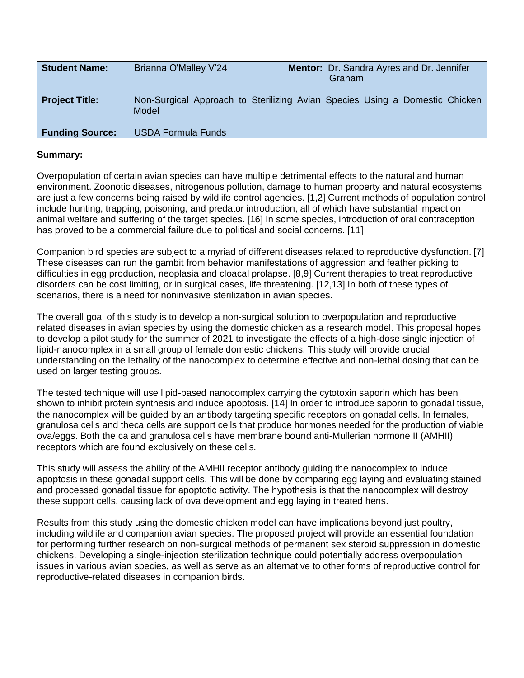| <b>Student Name:</b>   | Brianna O'Malley V'24                                                                | <b>Mentor:</b> Dr. Sandra Ayres and Dr. Jennifer<br>Graham |  |
|------------------------|--------------------------------------------------------------------------------------|------------------------------------------------------------|--|
| <b>Project Title:</b>  | Non-Surgical Approach to Sterilizing Avian Species Using a Domestic Chicken<br>Model |                                                            |  |
| <b>Funding Source:</b> | <b>USDA Formula Funds</b>                                                            |                                                            |  |

Overpopulation of certain avian species can have multiple detrimental effects to the natural and human environment. Zoonotic diseases, nitrogenous pollution, damage to human property and natural ecosystems are just a few concerns being raised by wildlife control agencies. [1,2] Current methods of population control include hunting, trapping, poisoning, and predator introduction, all of which have substantial impact on animal welfare and suffering of the target species. [16] In some species, introduction of oral contraception has proved to be a commercial failure due to political and social concerns. [11]

Companion bird species are subject to a myriad of different diseases related to reproductive dysfunction. [7] These diseases can run the gambit from behavior manifestations of aggression and feather picking to difficulties in egg production, neoplasia and cloacal prolapse. [8,9] Current therapies to treat reproductive disorders can be cost limiting, or in surgical cases, life threatening. [12,13] In both of these types of scenarios, there is a need for noninvasive sterilization in avian species.

The overall goal of this study is to develop a non-surgical solution to overpopulation and reproductive related diseases in avian species by using the domestic chicken as a research model. This proposal hopes to develop a pilot study for the summer of 2021 to investigate the effects of a high-dose single injection of lipid-nanocomplex in a small group of female domestic chickens. This study will provide crucial understanding on the lethality of the nanocomplex to determine effective and non-lethal dosing that can be used on larger testing groups.

The tested technique will use lipid-based nanocomplex carrying the cytotoxin saporin which has been shown to inhibit protein synthesis and induce apoptosis. [14] In order to introduce saporin to gonadal tissue, the nanocomplex will be guided by an antibody targeting specific receptors on gonadal cells. In females, granulosa cells and theca cells are support cells that produce hormones needed for the production of viable ova/eggs. Both the ca and granulosa cells have membrane bound anti-Mullerian hormone II (AMHII) receptors which are found exclusively on these cells.

This study will assess the ability of the AMHII receptor antibody guiding the nanocomplex to induce apoptosis in these gonadal support cells. This will be done by comparing egg laying and evaluating stained and processed gonadal tissue for apoptotic activity. The hypothesis is that the nanocomplex will destroy these support cells, causing lack of ova development and egg laying in treated hens.

Results from this study using the domestic chicken model can have implications beyond just poultry, including wildlife and companion avian species. The proposed project will provide an essential foundation for performing further research on non-surgical methods of permanent sex steroid suppression in domestic chickens. Developing a single-injection sterilization technique could potentially address overpopulation issues in various avian species, as well as serve as an alternative to other forms of reproductive control for reproductive-related diseases in companion birds.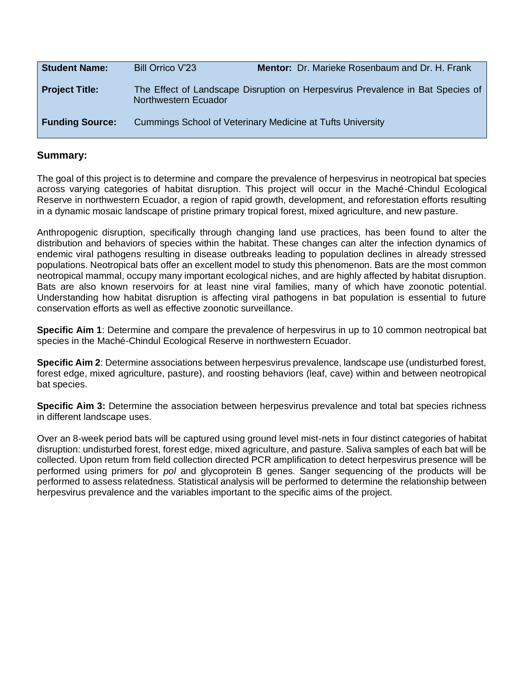| <b>Student Name:</b>   | Bill Orrico V'23     | <b>Mentor:</b> Dr. Marieke Rosenbaum and Dr. H. Frank                          |
|------------------------|----------------------|--------------------------------------------------------------------------------|
| <b>Project Title:</b>  | Northwestern Ecuador | The Effect of Landscape Disruption on Herpesvirus Prevalence in Bat Species of |
| <b>Funding Source:</b> |                      | Cummings School of Veterinary Medicine at Tufts University                     |

The goal of this project is to determine and compare the prevalence of herpesvirus in neotropical bat species across varying categories of habitat disruption. This project will occur in the Maché-Chindul Ecological Reserve in northwestern Ecuador, a region of rapid growth, development, and reforestation efforts resulting in a dynamic mosaic landscape of pristine primary tropical forest, mixed agriculture, and new pasture.

Anthropogenic disruption, specifically through changing land use practices, has been found to alter the distribution and behaviors of species within the habitat. These changes can alter the infection dynamics of endemic viral pathogens resulting in disease outbreaks leading to population declines in already stressed populations. Neotropical bats offer an excellent model to study this phenomenon. Bats are the most common neotropical mammal, occupy many important ecological niches, and are highly affected by habitat disruption. Bats are also known reservoirs for at least nine viral families, many of which have zoonotic potential. Understanding how habitat disruption is affecting viral pathogens in bat population is essential to future conservation efforts as well as effective zoonotic surveillance.

**Specific Aim 1**: Determine and compare the prevalence of herpesvirus in up to 10 common neotropical bat species in the Maché-Chindul Ecological Reserve in northwestern Ecuador.

**Specific Aim 2**: Determine associations between herpesvirus prevalence, landscape use (undisturbed forest, forest edge, mixed agriculture, pasture), and roosting behaviors (leaf, cave) within and between neotropical bat species.

**Specific Aim 3:** Determine the association between herpesvirus prevalence and total bat species richness in different landscape uses.

Over an 8-week period bats will be captured using ground level mist-nets in four distinct categories of habitat disruption: undisturbed forest, forest edge, mixed agriculture, and pasture. Saliva samples of each bat will be collected. Upon return from field collection directed PCR amplification to detect herpesvirus presence will be performed using primers for *pol* and glycoprotein B genes. Sanger sequencing of the products will be performed to assess relatedness. Statistical analysis will be performed to determine the relationship between herpesvirus prevalence and the variables important to the specific aims of the project.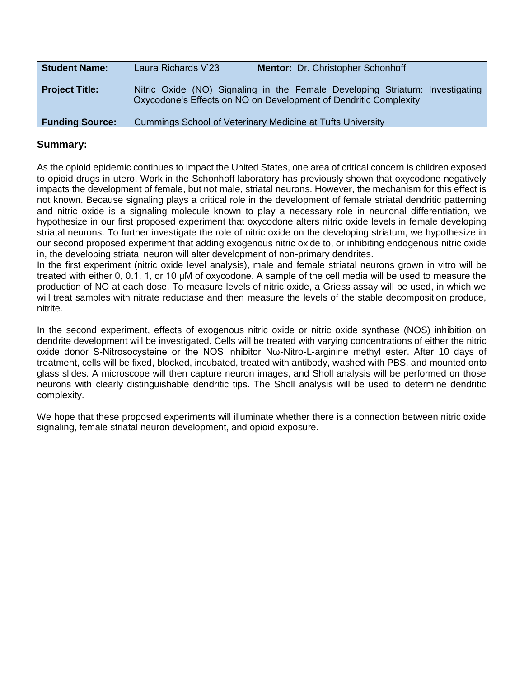| <b>Student Name:</b>   | Laura Richards V'23 | Mentor: Dr. Christopher Schonhoff                                                                                                                |
|------------------------|---------------------|--------------------------------------------------------------------------------------------------------------------------------------------------|
| <b>Project Title:</b>  |                     | Nitric Oxide (NO) Signaling in the Female Developing Striatum: Investigating<br>Oxycodone's Effects on NO on Development of Dendritic Complexity |
| <b>Funding Source:</b> |                     | Cummings School of Veterinary Medicine at Tufts University                                                                                       |

As the opioid epidemic continues to impact the United States, one area of critical concern is children exposed to opioid drugs in utero. Work in the Schonhoff laboratory has previously shown that oxycodone negatively impacts the development of female, but not male, striatal neurons. However, the mechanism for this effect is not known. Because signaling plays a critical role in the development of female striatal dendritic patterning and nitric oxide is a signaling molecule known to play a necessary role in neuronal differentiation, we hypothesize in our first proposed experiment that oxycodone alters nitric oxide levels in female developing striatal neurons. To further investigate the role of nitric oxide on the developing striatum, we hypothesize in our second proposed experiment that adding exogenous nitric oxide to, or inhibiting endogenous nitric oxide in, the developing striatal neuron will alter development of non-primary dendrites.

In the first experiment (nitric oxide level analysis), male and female striatal neurons grown in vitro will be treated with either 0, 0.1, 1, or 10 μM of oxycodone. A sample of the cell media will be used to measure the production of NO at each dose. To measure levels of nitric oxide, a Griess assay will be used, in which we will treat samples with nitrate reductase and then measure the levels of the stable decomposition produce, nitrite.

In the second experiment, effects of exogenous nitric oxide or nitric oxide synthase (NOS) inhibition on dendrite development will be investigated. Cells will be treated with varying concentrations of either the nitric oxide donor S-Nitrosocysteine or the NOS inhibitor Nω-Nitro-L-arginine methyl ester. After 10 days of treatment, cells will be fixed, blocked, incubated, treated with antibody, washed with PBS, and mounted onto glass slides. A microscope will then capture neuron images, and Sholl analysis will be performed on those neurons with clearly distinguishable dendritic tips. The Sholl analysis will be used to determine dendritic complexity.

We hope that these proposed experiments will illuminate whether there is a connection between nitric oxide signaling, female striatal neuron development, and opioid exposure.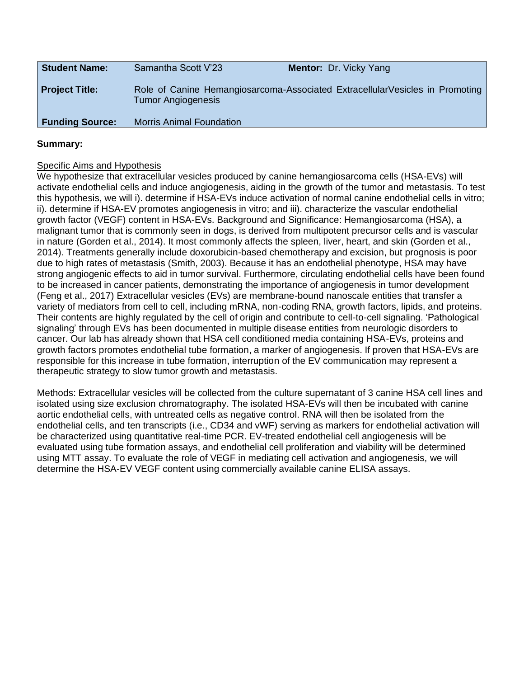| <b>Student Name:</b>   | Samantha Scott V'23             | <b>Mentor: Dr. Vicky Yang</b>                                                |
|------------------------|---------------------------------|------------------------------------------------------------------------------|
| <b>Project Title:</b>  | <b>Tumor Angiogenesis</b>       | Role of Canine Hemangiosarcoma-Associated ExtracellularVesicles in Promoting |
| <b>Funding Source:</b> | <b>Morris Animal Foundation</b> |                                                                              |

## Specific Aims and Hypothesis

We hypothesize that extracellular vesicles produced by canine hemangiosarcoma cells (HSA-EVs) will activate endothelial cells and induce angiogenesis, aiding in the growth of the tumor and metastasis. To test this hypothesis, we will i). determine if HSA-EVs induce activation of normal canine endothelial cells in vitro; ii). determine if HSA-EV promotes angiogenesis in vitro; and iii). characterize the vascular endothelial growth factor (VEGF) content in HSA-EVs. Background and Significance: Hemangiosarcoma (HSA), a malignant tumor that is commonly seen in dogs, is derived from multipotent precursor cells and is vascular in nature (Gorden et al., 2014). It most commonly affects the spleen, liver, heart, and skin (Gorden et al., 2014). Treatments generally include doxorubicin-based chemotherapy and excision, but prognosis is poor due to high rates of metastasis (Smith, 2003). Because it has an endothelial phenotype, HSA may have strong angiogenic effects to aid in tumor survival. Furthermore, circulating endothelial cells have been found to be increased in cancer patients, demonstrating the importance of angiogenesis in tumor development (Feng et al., 2017) Extracellular vesicles (EVs) are membrane-bound nanoscale entities that transfer a variety of mediators from cell to cell, including mRNA, non-coding RNA, growth factors, lipids, and proteins. Their contents are highly regulated by the cell of origin and contribute to cell-to-cell signaling. 'Pathological signaling' through EVs has been documented in multiple disease entities from neurologic disorders to cancer. Our lab has already shown that HSA cell conditioned media containing HSA-EVs, proteins and growth factors promotes endothelial tube formation, a marker of angiogenesis. If proven that HSA-EVs are responsible for this increase in tube formation, interruption of the EV communication may represent a therapeutic strategy to slow tumor growth and metastasis.

Methods: Extracellular vesicles will be collected from the culture supernatant of 3 canine HSA cell lines and isolated using size exclusion chromatography. The isolated HSA-EVs will then be incubated with canine aortic endothelial cells, with untreated cells as negative control. RNA will then be isolated from the endothelial cells, and ten transcripts (i.e., CD34 and vWF) serving as markers for endothelial activation will be characterized using quantitative real-time PCR. EV-treated endothelial cell angiogenesis will be evaluated using tube formation assays, and endothelial cell proliferation and viability will be determined using MTT assay. To evaluate the role of VEGF in mediating cell activation and angiogenesis, we will determine the HSA-EV VEGF content using commercially available canine ELISA assays.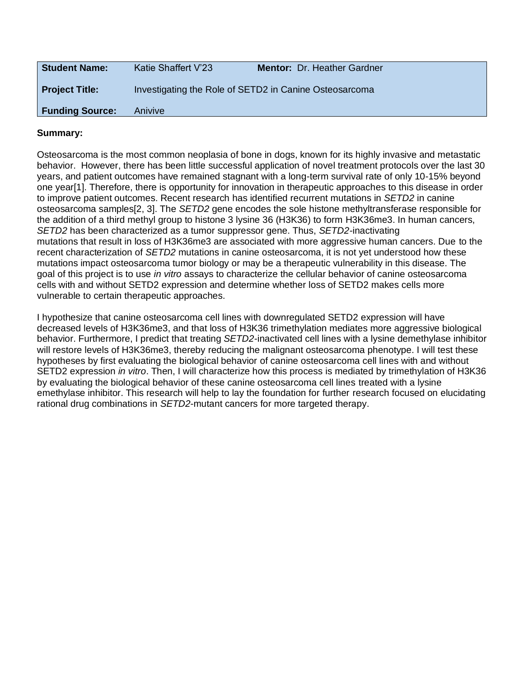| <b>Student Name:</b>   | Katie Shaffert V'23                                    | Mentor: Dr. Heather Gardner |
|------------------------|--------------------------------------------------------|-----------------------------|
| Project Title:         | Investigating the Role of SETD2 in Canine Osteosarcoma |                             |
| <b>Funding Source:</b> | Anivive                                                |                             |

Osteosarcoma is the most common neoplasia of bone in dogs, known for its highly invasive and metastatic behavior. However, there has been little successful application of novel treatment protocols over the last 30 years, and patient outcomes have remained stagnant with a long-term survival rate of only 10-15% beyond one year[1]. Therefore, there is opportunity for innovation in therapeutic approaches to this disease in order to improve patient outcomes. Recent research has identified recurrent mutations in *SETD2* in canine osteosarcoma samples[2, 3]. The *SETD2* gene encodes the sole histone methyltransferase responsible for the addition of a third methyl group to histone 3 lysine 36 (H3K36) to form H3K36me3. In human cancers, *SETD2* has been characterized as a tumor suppressor gene. Thus, *SETD2-*inactivating mutations that result in loss of H3K36me3 are associated with more aggressive human cancers. Due to the recent characterization of *SETD2* mutations in canine osteosarcoma, it is not yet understood how these mutations impact osteosarcoma tumor biology or may be a therapeutic vulnerability in this disease. The goal of this project is to use *in vitro* assays to characterize the cellular behavior of canine osteosarcoma cells with and without SETD2 expression and determine whether loss of SETD2 makes cells more vulnerable to certain therapeutic approaches.

I hypothesize that canine osteosarcoma cell lines with downregulated SETD2 expression will have decreased levels of H3K36me3, and that loss of H3K36 trimethylation mediates more aggressive biological behavior. Furthermore, I predict that treating *SETD2-*inactivated cell lines with a lysine demethylase inhibitor will restore levels of H3K36me3, thereby reducing the malignant osteosarcoma phenotype. I will test these hypotheses by first evaluating the biological behavior of canine osteosarcoma cell lines with and without SETD2 expression *in vitro*. Then, I will characterize how this process is mediated by trimethylation of H3K36 by evaluating the biological behavior of these canine osteosarcoma cell lines treated with a lysine emethylase inhibitor. This research will help to lay the foundation for further research focused on elucidating rational drug combinations in *SETD2*-mutant cancers for more targeted therapy.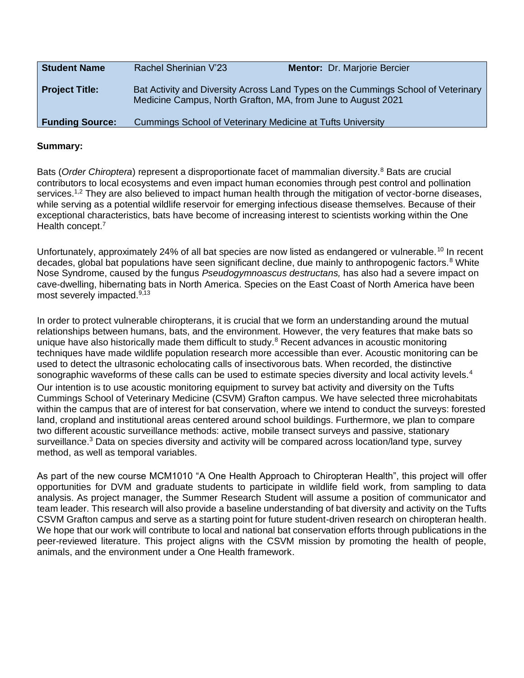| <b>Student Name</b>    | Rachel Sherinian V'23                                        | <b>Mentor:</b> Dr. Marjorie Bercier                                               |
|------------------------|--------------------------------------------------------------|-----------------------------------------------------------------------------------|
| <b>Project Title:</b>  | Medicine Campus, North Grafton, MA, from June to August 2021 | Bat Activity and Diversity Across Land Types on the Cummings School of Veterinary |
| <b>Funding Source:</b> | Cummings School of Veterinary Medicine at Tufts University   |                                                                                   |

Bats (*Order Chiroptera*) represent a disproportionate facet of mammalian diversity.<sup>8</sup> Bats are crucial contributors to local ecosystems and even impact human economies through pest control and pollination services.<sup>1,2</sup> They are also believed to impact human health through the mitigation of vector-borne diseases, while serving as a potential wildlife reservoir for emerging infectious disease themselves. Because of their exceptional characteristics, bats have become of increasing interest to scientists working within the One Health concept.<sup>7</sup>

Unfortunately, approximately 24% of all bat species are now listed as endangered or vulnerable.<sup>10</sup> In recent decades, global bat populations have seen significant decline, due mainly to anthropogenic factors.<sup>8</sup> White Nose Syndrome, caused by the fungus *Pseudogymnoascus destructans,* has also had a severe impact on cave-dwelling, hibernating bats in North America. Species on the East Coast of North America have been most severely impacted.<sup>9,13</sup>

In order to protect vulnerable chiropterans, it is crucial that we form an understanding around the mutual relationships between humans, bats, and the environment. However, the very features that make bats so unique have also historically made them difficult to study. $8$  Recent advances in acoustic monitoring techniques have made wildlife population research more accessible than ever. Acoustic monitoring can be used to detect the ultrasonic echolocating calls of insectivorous bats. When recorded, the distinctive sonographic waveforms of these calls can be used to estimate species diversity and local activity levels.<sup>4</sup> Our intention is to use acoustic monitoring equipment to survey bat activity and diversity on the Tufts Cummings School of Veterinary Medicine (CSVM) Grafton campus. We have selected three microhabitats within the campus that are of interest for bat conservation, where we intend to conduct the surveys: forested land, cropland and institutional areas centered around school buildings. Furthermore, we plan to compare two different acoustic surveillance methods: active, mobile transect surveys and passive, stationary surveillance.<sup>3</sup> Data on species diversity and activity will be compared across location/land type, survey method, as well as temporal variables.

As part of the new course MCM1010 "A One Health Approach to Chiropteran Health", this project will offer opportunities for DVM and graduate students to participate in wildlife field work, from sampling to data analysis. As project manager, the Summer Research Student will assume a position of communicator and team leader. This research will also provide a baseline understanding of bat diversity and activity on the Tufts CSVM Grafton campus and serve as a starting point for future student-driven research on chiropteran health. We hope that our work will contribute to local and national bat conservation efforts through publications in the peer-reviewed literature. This project aligns with the CSVM mission by promoting the health of people, animals, and the environment under a One Health framework.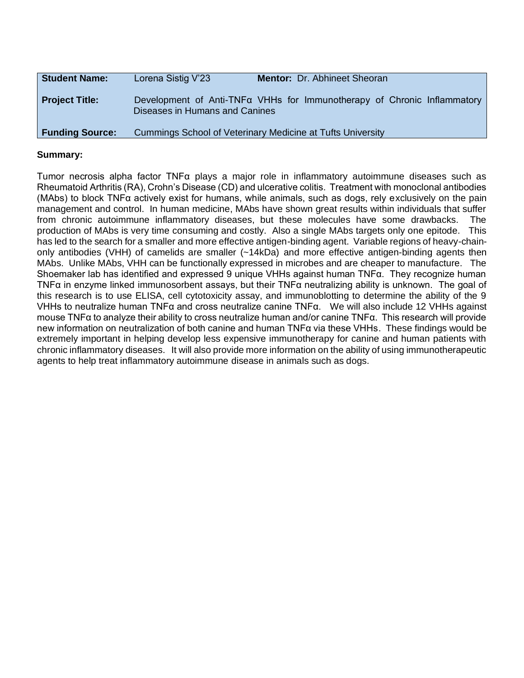| <b>Student Name:</b>   | Lorena Sistig V'23             | Mentor: Dr. Abhineet Sheoran                                            |
|------------------------|--------------------------------|-------------------------------------------------------------------------|
| <b>Project Title:</b>  | Diseases in Humans and Canines | Development of Anti-TNFa VHHs for Immunotherapy of Chronic Inflammatory |
| <b>Funding Source:</b> |                                | Cummings School of Veterinary Medicine at Tufts University              |

Tumor necrosis alpha factor TNFα plays a major role in inflammatory autoimmune diseases such as Rheumatoid Arthritis (RA), Crohn's Disease (CD) and ulcerative colitis. Treatment with monoclonal antibodies (MAbs) to block TNFα actively exist for humans, while animals, such as dogs, rely exclusively on the pain management and control. In human medicine, MAbs have shown great results within individuals that suffer from chronic autoimmune inflammatory diseases, but these molecules have some drawbacks. The production of MAbs is very time consuming and costly. Also a single MAbs targets only one epitode. This has led to the search for a smaller and more effective antigen-binding agent. Variable regions of heavy-chainonly antibodies (VHH) of camelids are smaller (~14kDa) and more effective antigen-binding agents then MAbs. Unlike MAbs, VHH can be functionally expressed in microbes and are cheaper to manufacture. The Shoemaker lab has identified and expressed 9 unique VHHs against human TNFα. They recognize human TNFα in enzyme linked immunosorbent assays, but their TNFα neutralizing ability is unknown. The goal of this research is to use ELISA, cell cytotoxicity assay, and immunoblotting to determine the ability of the 9 VHHs to neutralize human TNFα and cross neutralize canine TNFα. We will also include 12 VHHs against mouse TNFα to analyze their ability to cross neutralize human and/or canine TNFα. This research will provide new information on neutralization of both canine and human TNFα via these VHHs. These findings would be extremely important in helping develop less expensive immunotherapy for canine and human patients with chronic inflammatory diseases. It will also provide more information on the ability of using immunotherapeutic agents to help treat inflammatory autoimmune disease in animals such as dogs.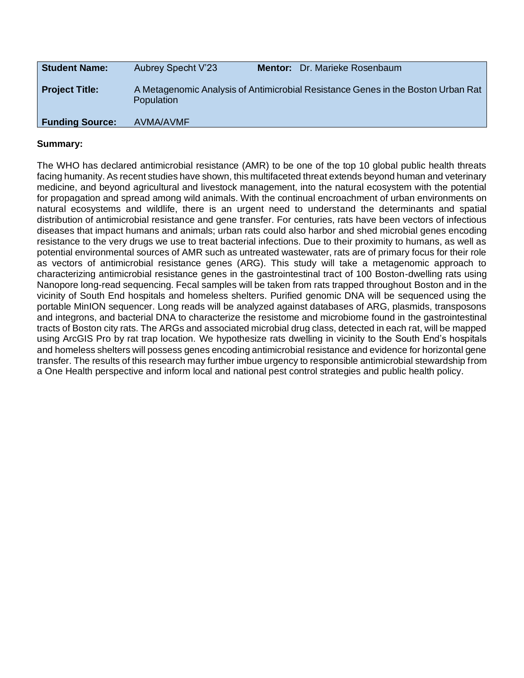| <b>Student Name:</b>   | <b>Aubrey Specht V'23</b> | <b>Mentor:</b> Dr. Marieke Rosenbaum                                             |
|------------------------|---------------------------|----------------------------------------------------------------------------------|
| <b>Project Title:</b>  | Population                | A Metagenomic Analysis of Antimicrobial Resistance Genes in the Boston Urban Rat |
| <b>Funding Source:</b> | AVMA/AVMF                 |                                                                                  |

The WHO has declared antimicrobial resistance (AMR) to be one of the top 10 global public health threats facing humanity. As recent studies have shown, this multifaceted threat extends beyond human and veterinary medicine, and beyond agricultural and livestock management, into the natural ecosystem with the potential for propagation and spread among wild animals. With the continual encroachment of urban environments on natural ecosystems and wildlife, there is an urgent need to understand the determinants and spatial distribution of antimicrobial resistance and gene transfer. For centuries, rats have been vectors of infectious diseases that impact humans and animals; urban rats could also harbor and shed microbial genes encoding resistance to the very drugs we use to treat bacterial infections. Due to their proximity to humans, as well as potential environmental sources of AMR such as untreated wastewater, rats are of primary focus for their role as vectors of antimicrobial resistance genes (ARG). This study will take a metagenomic approach to characterizing antimicrobial resistance genes in the gastrointestinal tract of 100 Boston-dwelling rats using Nanopore long-read sequencing. Fecal samples will be taken from rats trapped throughout Boston and in the vicinity of South End hospitals and homeless shelters. Purified genomic DNA will be sequenced using the portable MinION sequencer. Long reads will be analyzed against databases of ARG, plasmids, transposons and integrons, and bacterial DNA to characterize the resistome and microbiome found in the gastrointestinal tracts of Boston city rats. The ARGs and associated microbial drug class, detected in each rat, will be mapped using ArcGIS Pro by rat trap location. We hypothesize rats dwelling in vicinity to the South End's hospitals and homeless shelters will possess genes encoding antimicrobial resistance and evidence for horizontal gene transfer. The results of this research may further imbue urgency to responsible antimicrobial stewardship from a One Health perspective and inform local and national pest control strategies and public health policy.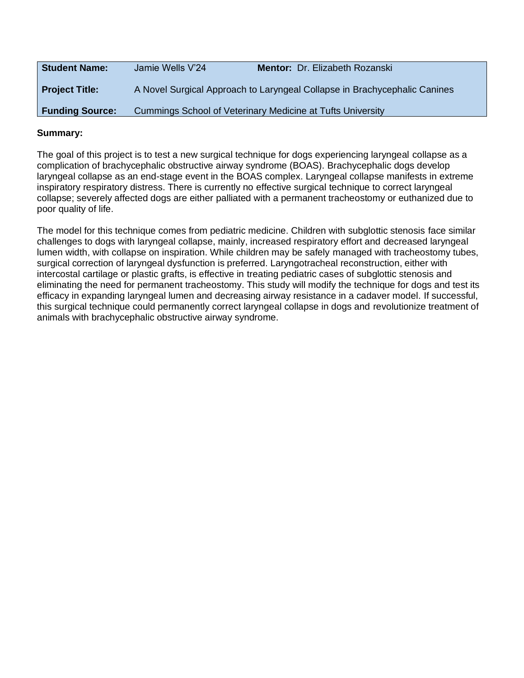| <b>Student Name:</b>   | Jamie Wells V'24                                           | Mentor: Dr. Elizabeth Rozanski                                            |
|------------------------|------------------------------------------------------------|---------------------------------------------------------------------------|
| <b>Project Title:</b>  |                                                            | A Novel Surgical Approach to Laryngeal Collapse in Brachycephalic Canines |
| <b>Funding Source:</b> | Cummings School of Veterinary Medicine at Tufts University |                                                                           |

The goal of this project is to test a new surgical technique for dogs experiencing laryngeal collapse as a complication of brachycephalic obstructive airway syndrome (BOAS). Brachycephalic dogs develop laryngeal collapse as an end-stage event in the BOAS complex. Laryngeal collapse manifests in extreme inspiratory respiratory distress. There is currently no effective surgical technique to correct laryngeal collapse; severely affected dogs are either palliated with a permanent tracheostomy or euthanized due to poor quality of life.

The model for this technique comes from pediatric medicine. Children with subglottic stenosis face similar challenges to dogs with laryngeal collapse, mainly, increased respiratory effort and decreased laryngeal lumen width, with collapse on inspiration. While children may be safely managed with tracheostomy tubes, surgical correction of laryngeal dysfunction is preferred. Laryngotracheal reconstruction, either with intercostal cartilage or plastic grafts, is effective in treating pediatric cases of subglottic stenosis and eliminating the need for permanent tracheostomy. This study will modify the technique for dogs and test its efficacy in expanding laryngeal lumen and decreasing airway resistance in a cadaver model. If successful, this surgical technique could permanently correct laryngeal collapse in dogs and revolutionize treatment of animals with brachycephalic obstructive airway syndrome.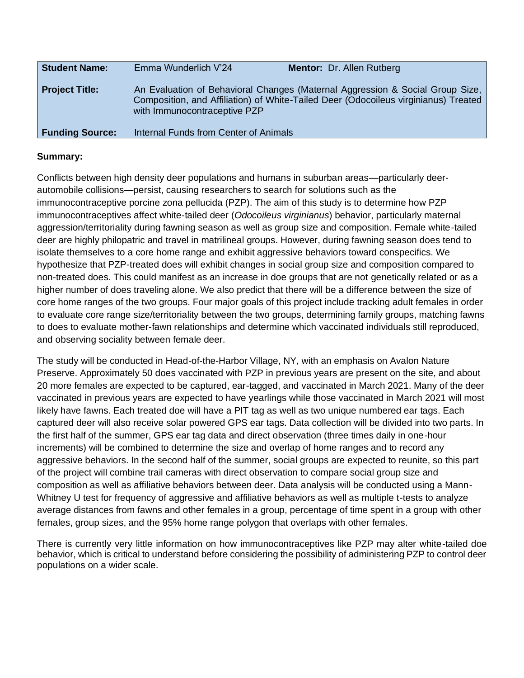| <b>Student Name:</b>   | Emma Wunderlich V'24                  | <b>Mentor: Dr. Allen Rutberg</b>                                                                                                                                     |
|------------------------|---------------------------------------|----------------------------------------------------------------------------------------------------------------------------------------------------------------------|
| <b>Project Title:</b>  | with Immunocontraceptive PZP          | An Evaluation of Behavioral Changes (Maternal Aggression & Social Group Size,<br>Composition, and Affiliation) of White-Tailed Deer (Odocoileus virginianus) Treated |
| <b>Funding Source:</b> | Internal Funds from Center of Animals |                                                                                                                                                                      |

Conflicts between high density deer populations and humans in suburban areas—particularly deerautomobile collisions—persist, causing researchers to search for solutions such as the immunocontraceptive porcine zona pellucida (PZP). The aim of this study is to determine how PZP immunocontraceptives affect white-tailed deer (*Odocoileus virginianus*) behavior, particularly maternal aggression/territoriality during fawning season as well as group size and composition. Female white-tailed deer are highly philopatric and travel in matrilineal groups. However, during fawning season does tend to isolate themselves to a core home range and exhibit aggressive behaviors toward conspecifics. We hypothesize that PZP-treated does will exhibit changes in social group size and composition compared to non-treated does. This could manifest as an increase in doe groups that are not genetically related or as a higher number of does traveling alone. We also predict that there will be a difference between the size of core home ranges of the two groups. Four major goals of this project include tracking adult females in order to evaluate core range size/territoriality between the two groups, determining family groups, matching fawns to does to evaluate mother-fawn relationships and determine which vaccinated individuals still reproduced, and observing sociality between female deer.

The study will be conducted in Head-of-the-Harbor Village, NY, with an emphasis on Avalon Nature Preserve. Approximately 50 does vaccinated with PZP in previous years are present on the site, and about 20 more females are expected to be captured, ear-tagged, and vaccinated in March 2021. Many of the deer vaccinated in previous years are expected to have yearlings while those vaccinated in March 2021 will most likely have fawns. Each treated doe will have a PIT tag as well as two unique numbered ear tags. Each captured deer will also receive solar powered GPS ear tags. Data collection will be divided into two parts. In the first half of the summer, GPS ear tag data and direct observation (three times daily in one-hour increments) will be combined to determine the size and overlap of home ranges and to record any aggressive behaviors. In the second half of the summer, social groups are expected to reunite, so this part of the project will combine trail cameras with direct observation to compare social group size and composition as well as affiliative behaviors between deer. Data analysis will be conducted using a Mann-Whitney U test for frequency of aggressive and affiliative behaviors as well as multiple t-tests to analyze average distances from fawns and other females in a group, percentage of time spent in a group with other females, group sizes, and the 95% home range polygon that overlaps with other females.

There is currently very little information on how immunocontraceptives like PZP may alter white-tailed doe behavior, which is critical to understand before considering the possibility of administering PZP to control deer populations on a wider scale.